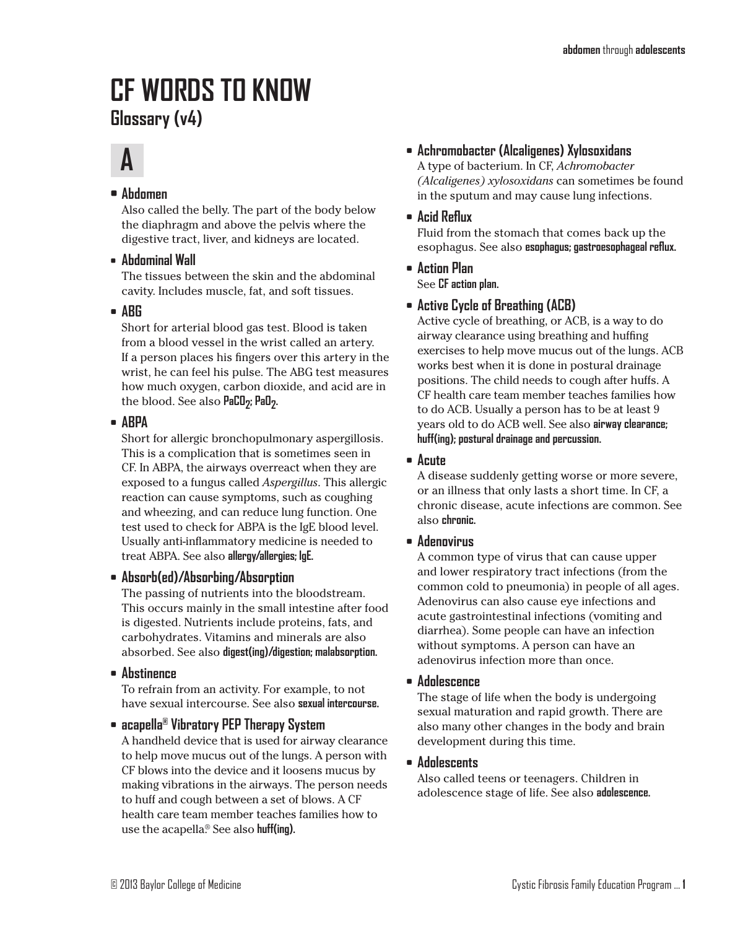## **CF WORDS TO KNOW Glossary (v4)**

# **A**

## **• Abdomen**

Also called the belly. The part of the body below the diaphragm and above the pelvis where the digestive tract, liver, and kidneys are located.

**• Abdominal Wall**

The tissues between the skin and the abdominal cavity. Includes muscle, fat, and soft tissues.

**• ABG**

Short for arterial blood gas test. Blood is taken from a blood vessel in the wrist called an artery. If a person places his fingers over this artery in the wrist, he can feel his pulse. The ABG test measures how much oxygen, carbon dioxide, and acid are in the blood. See also **PaCO<sub>7</sub>**; **PaO<sub>7</sub>**.

**• ABPA**

Short for allergic bronchopulmonary aspergillosis. This is a complication that is sometimes seen in CF. In ABPA, the airways overreact when they are exposed to a fungus called *Aspergillus*. This allergic reaction can cause symptoms, such as coughing and wheezing, and can reduce lung function. One test used to check for ABPA is the IgE blood level. Usually anti-inflammatory medicine is needed to treat ABPA. See also **allergy/allergies; IgE.**

**• Absorb(ed)/Absorbing/Absorption**

The passing of nutrients into the bloodstream. This occurs mainly in the small intestine after food is digested. Nutrients include proteins, fats, and carbohydrates. Vitamins and minerals are also absorbed. See also **digest(ing)/digestion; malabsorption.**

**• Abstinence**

To refrain from an activity. For example, to not have sexual intercourse. See also **sexual intercourse.**

## **• acapella® Vibratory PEP Therapy System**

A handheld device that is used for airway clearance to help move mucus out of the lungs. A person with CF blows into the device and it loosens mucus by making vibrations in the airways. The person needs to huff and cough between a set of blows. A CF health care team member teaches families how to use the acapella. ® See also **huff(ing).**

## **• Achromobacter (Alcaligenes) Xylosoxidans**

A type of bacterium. In CF, *Achromobacter (Alcaligenes) xylosoxidans* can sometimes be found in the sputum and may cause lung infections.

**• Acid Reflux**

Fluid from the stomach that comes back up the esophagus. See also **esophagus; gastroesophageal reflux.**

- **• Action Plan** See **CF action plan.**
- **• Active Cycle of Breathing (ACB)**

Active cycle of breathing, or ACB, is a way to do airway clearance using breathing and huffing exercises to help move mucus out of the lungs. ACB works best when it is done in postural drainage positions. The child needs to cough after huffs. A CF health care team member teaches families how to do ACB. Usually a person has to be at least 9 years old to do ACB well. See also **airway clearance; huff(ing); postural drainage and percussion.**

## **• Acute**

A disease suddenly getting worse or more severe, or an illness that only lasts a short time. In CF, a chronic disease, acute infections are common. See also **chronic.**

## **• Adenovirus**

A common type of virus that can cause upper and lower respiratory tract infections (from the common cold to pneumonia) in people of all ages. Adenovirus can also cause eye infections and acute gastrointestinal infections (vomiting and diarrhea). Some people can have an infection without symptoms. A person can have an adenovirus infection more than once.

**• Adolescence**

The stage of life when the body is undergoing sexual maturation and rapid growth. There are also many other changes in the body and brain development during this time.

## **• Adolescents**

Also called teens or teenagers. Children in adolescence stage of life. See also **adolescence.**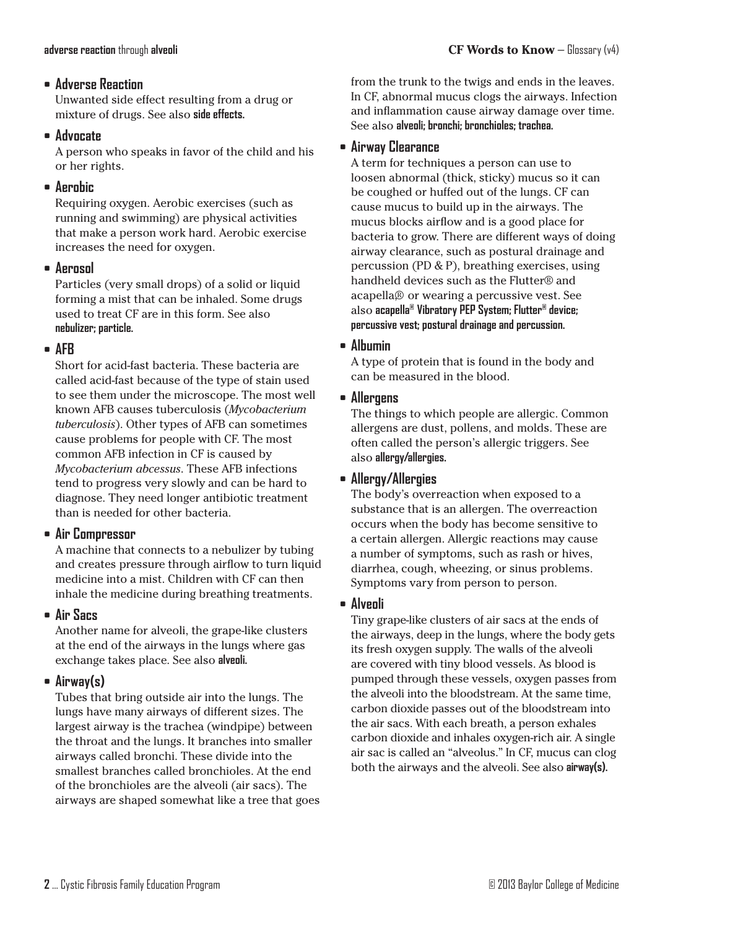#### **• Adverse Reaction**

Unwanted side effect resulting from a drug or mixture of drugs. See also **side effects.**

### **• Advocate**

A person who speaks in favor of the child and his or her rights.

## **• Aerobic**

Requiring oxygen. Aerobic exercises (such as running and swimming) are physical activities that make a person work hard. Aerobic exercise increases the need for oxygen.

## **• Aerosol**

Particles (very small drops) of a solid or liquid forming a mist that can be inhaled. Some drugs used to treat CF are in this form. See also **nebulizer; particle.**

### **• AFB**

Short for acid-fast bacteria. These bacteria are called acid-fast because of the type of stain used to see them under the microscope. The most well known AFB causes tuberculosis (*Mycobacterium tuberculosis*). Other types of AFB can sometimes cause problems for people with CF. The most common AFB infection in CF is caused by *Mycobacterium abcessus*. These AFB infections tend to progress very slowly and can be hard to diagnose. They need longer antibiotic treatment than is needed for other bacteria.

## **• Air Compressor**

A machine that connects to a nebulizer by tubing and creates pressure through airflow to turn liquid medicine into a mist. Children with CF can then inhale the medicine during breathing treatments.

## **• Air Sacs**

Another name for alveoli, the grape-like clusters at the end of the airways in the lungs where gas exchange takes place. See also **alveoli.**

## **• Airway(s)**

Tubes that bring outside air into the lungs. The lungs have many airways of different sizes. The largest airway is the trachea (windpipe) between the throat and the lungs. It branches into smaller airways called bronchi. These divide into the smallest branches called bronchioles. At the end of the bronchioles are the alveoli (air sacs). The airways are shaped somewhat like a tree that goes

### **• Airway Clearance**

A term for techniques a person can use to loosen abnormal (thick, sticky) mucus so it can be coughed or huffed out of the lungs. CF can cause mucus to build up in the airways. The mucus blocks airflow and is a good place for bacteria to grow. There are different ways of doing airway clearance, such as postural drainage and percussion (PD & P), breathing exercises, using handheld devices such as the Flutter® and acapella,® or wearing a percussive vest. See also **acapella® Vibratory PEP System; Flutter® device; percussive vest; postural drainage and percussion.**

### **• Albumin**

A type of protein that is found in the body and can be measured in the blood.

## **• Allergens**

The things to which people are allergic. Common allergens are dust, pollens, and molds. These are often called the person's allergic triggers. See also **allergy/allergies.**

## **• Allergy/Allergies**

The body's overreaction when exposed to a substance that is an allergen. The overreaction occurs when the body has become sensitive to a certain allergen. Allergic reactions may cause a number of symptoms, such as rash or hives, diarrhea, cough, wheezing, or sinus problems. Symptoms vary from person to person.

## **• Alveoli**

Tiny grape-like clusters of air sacs at the ends of the airways, deep in the lungs, where the body gets its fresh oxygen supply. The walls of the alveoli are covered with tiny blood vessels. As blood is pumped through these vessels, oxygen passes from the alveoli into the bloodstream. At the same time, carbon dioxide passes out of the bloodstream into the air sacs. With each breath, a person exhales carbon dioxide and inhales oxygen-rich air. A single air sac is called an "alveolus." In CF, mucus can clog both the airways and the alveoli. See also **airway(s).**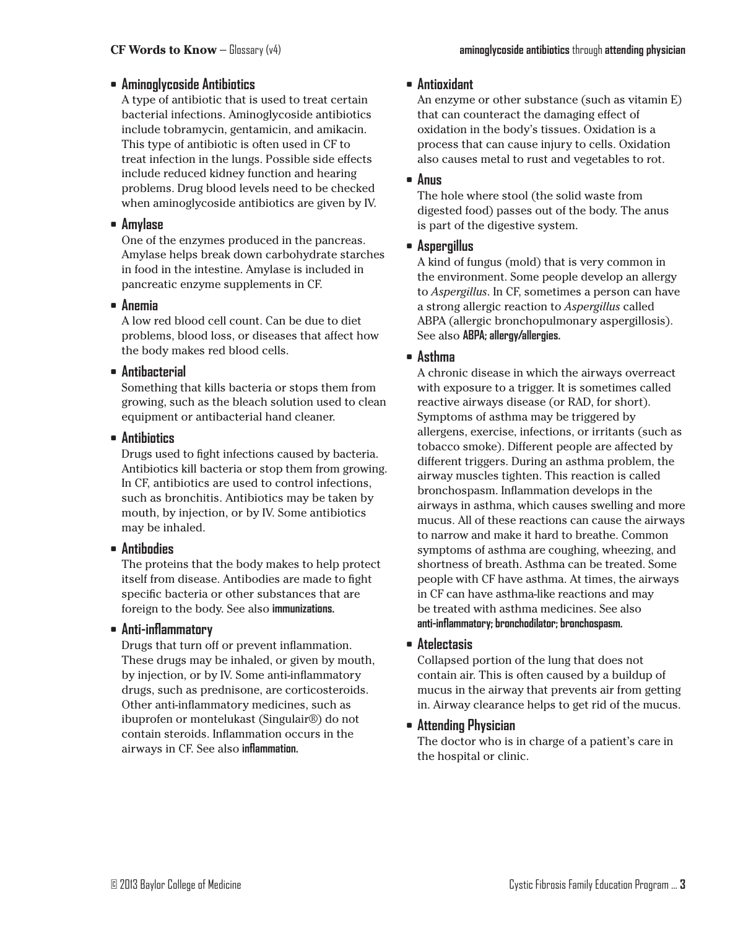#### **• Aminoglycoside Antibiotics**

A type of antibiotic that is used to treat certain bacterial infections. Aminoglycoside antibiotics include tobramycin, gentamicin, and amikacin. This type of antibiotic is often used in CF to treat infection in the lungs. Possible side effects include reduced kidney function and hearing problems. Drug blood levels need to be checked when aminoglycoside antibiotics are given by IV.

#### **• Amylase**

One of the enzymes produced in the pancreas. Amylase helps break down carbohydrate starches in food in the intestine. Amylase is included in pancreatic enzyme supplements in CF.

#### **• Anemia**

A low red blood cell count. Can be due to diet problems, blood loss, or diseases that affect how the body makes red blood cells.

#### **• Antibacterial**

Something that kills bacteria or stops them from growing, such as the bleach solution used to clean equipment or antibacterial hand cleaner.

#### **• Antibiotics**

Drugs used to fight infections caused by bacteria. Antibiotics kill bacteria or stop them from growing. In CF, antibiotics are used to control infections, such as bronchitis. Antibiotics may be taken by mouth, by injection, or by IV. Some antibiotics may be inhaled.

#### **• Antibodies**

The proteins that the body makes to help protect itself from disease. Antibodies are made to fight specific bacteria or other substances that are foreign to the body. See also **immunizations.**

#### **• Anti-inflammatory**

Drugs that turn off or prevent inflammation. These drugs may be inhaled, or given by mouth, by injection, or by IV. Some anti-inflammatory drugs, such as prednisone, are corticosteroids. Other anti-inflammatory medicines, such as ibuprofen or montelukast (Singulair®) do not contain steroids. Inflammation occurs in the airways in CF. See also **inflammation.**

#### **• Antioxidant**

An enzyme or other substance (such as vitamin E) that can counteract the damaging effect of oxidation in the body's tissues. Oxidation is a process that can cause injury to cells. Oxidation also causes metal to rust and vegetables to rot.

#### **• Anus**

The hole where stool (the solid waste from digested food) passes out of the body. The anus is part of the digestive system.

### **• Aspergillus**

A kind of fungus (mold) that is very common in the environment. Some people develop an allergy to *Aspergillus*. In CF, sometimes a person can have a strong allergic reaction to *Aspergillus* called ABPA (allergic bronchopulmonary aspergillosis). See also **ABPA; allergy/allergies.**

#### **• Asthma**

A chronic disease in which the airways overreact with exposure to a trigger. It is sometimes called reactive airways disease (or RAD, for short). Symptoms of asthma may be triggered by allergens, exercise, infections, or irritants (such as tobacco smoke). Different people are affected by different triggers. During an asthma problem, the airway muscles tighten. This reaction is called bronchospasm. Inflammation develops in the airways in asthma, which causes swelling and more mucus. All of these reactions can cause the airways to narrow and make it hard to breathe. Common symptoms of asthma are coughing, wheezing, and shortness of breath. Asthma can be treated. Some people with CF have asthma. At times, the airways in CF can have asthma-like reactions and may be treated with asthma medicines. See also **anti-inflammatory; bronchodilator; bronchospasm.**

### **• Atelectasis**

Collapsed portion of the lung that does not contain air. This is often caused by a buildup of mucus in the airway that prevents air from getting in. Airway clearance helps to get rid of the mucus.

## **• Attending Physician**

The doctor who is in charge of a patient's care in the hospital or clinic.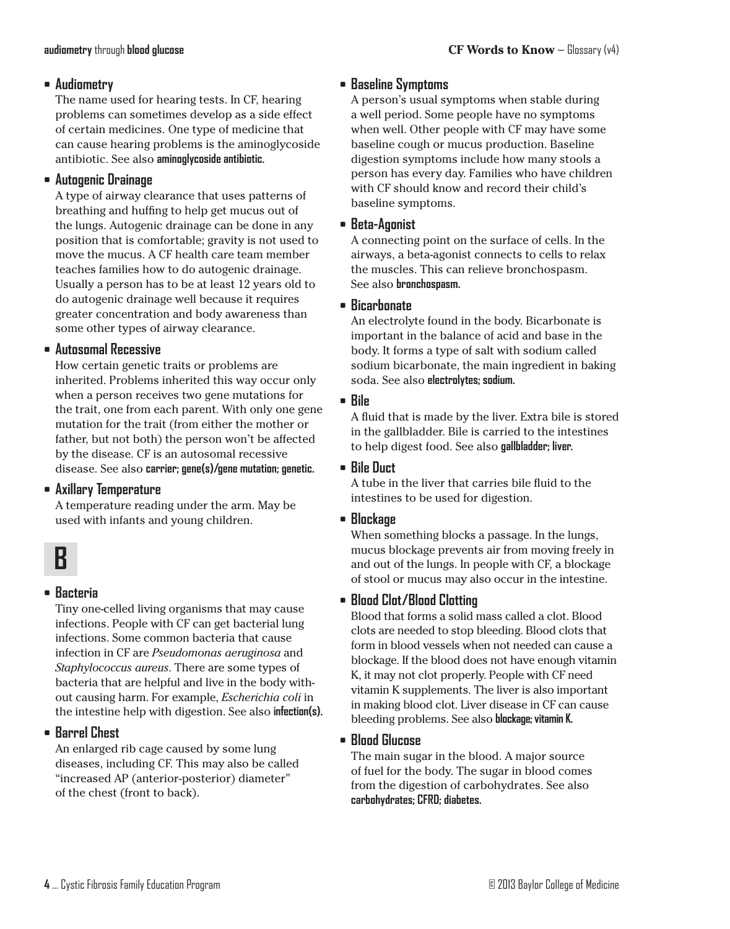#### **• Audiometry**

The name used for hearing tests. In CF, hearing problems can sometimes develop as a side effect of certain medicines. One type of medicine that can cause hearing problems is the aminoglycoside antibiotic. See also **aminoglycoside antibiotic.**

### **• Autogenic Drainage**

A type of airway clearance that uses patterns of breathing and huffing to help get mucus out of the lungs. Autogenic drainage can be done in any position that is comfortable; gravity is not used to move the mucus. A CF health care team member teaches families how to do autogenic drainage. Usually a person has to be at least 12 years old to do autogenic drainage well because it requires greater concentration and body awareness than some other types of airway clearance.

#### **• Autosomal Recessive**

How certain genetic traits or problems are inherited. Problems inherited this way occur only when a person receives two gene mutations for the trait, one from each parent. With only one gene mutation for the trait (from either the mother or father, but not both) the person won't be affected by the disease. CF is an autosomal recessive disease. See also **carrier; gene(s)/gene mutation; genetic.**

## **• Axillary Temperature**

A temperature reading under the arm. May be used with infants and young children.



## **• Bacteria**

Tiny one-celled living organisms that may cause infections. People with CF can get bacterial lung infections. Some common bacteria that cause infection in CF are *Pseudomonas aeruginosa* and *Staphylococcus aureus*. There are some types of bacteria that are helpful and live in the body without causing harm. For example, *Escherichia coli* in the intestine help with digestion. See also **infection(s).**

## **• Barrel Chest**

An enlarged rib cage caused by some lung diseases, including CF. This may also be called "increased AP (anterior-posterior) diameter" of the chest (front to back).

## **• Baseline Symptoms**

A person's usual symptoms when stable during a well period. Some people have no symptoms when well. Other people with CF may have some baseline cough or mucus production. Baseline digestion symptoms include how many stools a person has every day. Families who have children with CF should know and record their child's baseline symptoms.

**• Beta-Agonist**

A connecting point on the surface of cells. In the airways, a beta-agonist connects to cells to relax the muscles. This can relieve bronchospasm. See also **bronchospasm.**

### **• Bicarbonate**

An electrolyte found in the body. Bicarbonate is important in the balance of acid and base in the body. It forms a type of salt with sodium called sodium bicarbonate, the main ingredient in baking soda. See also **electrolytes; sodium.**

## **• Bile**

A fluid that is made by the liver. Extra bile is stored in the gallbladder. Bile is carried to the intestines to help digest food. See also **gallbladder; liver.**

## **• Bile Duct**

A tube in the liver that carries bile fluid to the intestines to be used for digestion.

## **• Blockage**

When something blocks a passage. In the lungs, mucus blockage prevents air from moving freely in and out of the lungs. In people with CF, a blockage of stool or mucus may also occur in the intestine.

## **• Blood Clot/Blood Clotting**

Blood that forms a solid mass called a clot. Blood clots are needed to stop bleeding. Blood clots that form in blood vessels when not needed can cause a blockage. If the blood does not have enough vitamin K, it may not clot properly. People with CF need vitamin K supplements. The liver is also important in making blood clot. Liver disease in CF can cause bleeding problems. See also **blockage**; vitamin K.

## **• Blood Glucose**

The main sugar in the blood. A major source of fuel for the body. The sugar in blood comes from the digestion of carbohydrates. See also **carbohydrates; CFRD; diabetes.**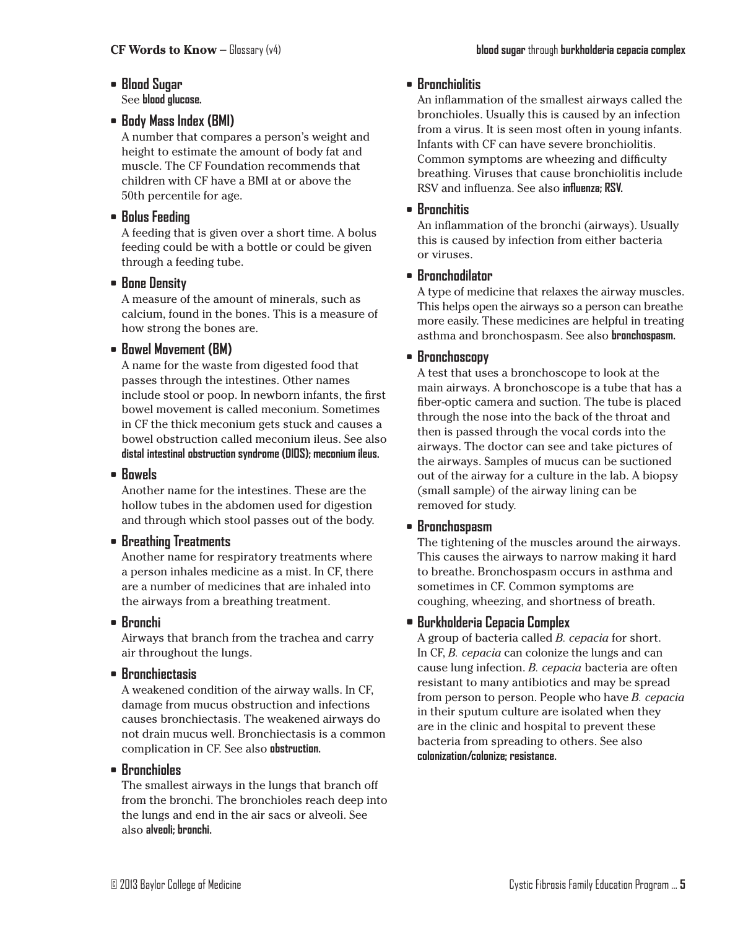- **• Blood Sugar** See **blood glucose.**
- **• Body Mass Index (BMI)**

A number that compares a person's weight and height to estimate the amount of body fat and muscle. The CF Foundation recommends that children with CF have a BMI at or above the 50th percentile for age.

**• Bolus Feeding**

A feeding that is given over a short time. A bolus feeding could be with a bottle or could be given through a feeding tube.

**• Bone Density**

A measure of the amount of minerals, such as calcium, found in the bones. This is a measure of how strong the bones are.

## **• Bowel Movement (BM)**

A name for the waste from digested food that passes through the intestines. Other names include stool or poop. In newborn infants, the first bowel movement is called meconium. Sometimes in CF the thick meconium gets stuck and causes a bowel obstruction called meconium ileus. See also **distal intestinal obstruction syndrome (DIOS); meconium ileus.**

## **• Bowels**

Another name for the intestines. These are the hollow tubes in the abdomen used for digestion and through which stool passes out of the body.

## **• Breathing Treatments**

Another name for respiratory treatments where a person inhales medicine as a mist. In CF, there are a number of medicines that are inhaled into the airways from a breathing treatment.

**• Bronchi**

Airways that branch from the trachea and carry air throughout the lungs.

**• Bronchiectasis**

A weakened condition of the airway walls. In CF, damage from mucus obstruction and infections causes bronchiectasis. The weakened airways do not drain mucus well. Bronchiectasis is a common complication in CF. See also **obstruction.**

## **• Bronchioles**

The smallest airways in the lungs that branch off from the bronchi. The bronchioles reach deep into the lungs and end in the air sacs or alveoli. See also **alveoli; bronchi.**

## **• Bronchiolitis**

An inflammation of the smallest airways called the bronchioles. Usually this is caused by an infection from a virus. It is seen most often in young infants. Infants with CF can have severe bronchiolitis. Common symptoms are wheezing and difficulty breathing. Viruses that cause bronchiolitis include RSV and influenza. See also **influenza; RSV.**

## **• Bronchitis**

An inflammation of the bronchi (airways). Usually this is caused by infection from either bacteria or viruses.

## **• Bronchodilator**

A type of medicine that relaxes the airway muscles. This helps open the airways so a person can breathe more easily. These medicines are helpful in treating asthma and bronchospasm. See also **bronchospasm.**

## **• Bronchoscopy**

A test that uses a bronchoscope to look at the main airways. A bronchoscope is a tube that has a fiber-optic camera and suction. The tube is placed through the nose into the back of the throat and then is passed through the vocal cords into the airways. The doctor can see and take pictures of the airways. Samples of mucus can be suctioned out of the airway for a culture in the lab. A biopsy (small sample) of the airway lining can be removed for study.

## **• Bronchospasm**

The tightening of the muscles around the airways. This causes the airways to narrow making it hard to breathe. Bronchospasm occurs in asthma and sometimes in CF. Common symptoms are coughing, wheezing, and shortness of breath.

## **• Burkholderia Cepacia Complex**

A group of bacteria called *B. cepacia* for short. In CF, *B. cepacia* can colonize the lungs and can cause lung infection. *B. cepacia* bacteria are often resistant to many antibiotics and may be spread from person to person. People who have *B. cepacia* in their sputum culture are isolated when they are in the clinic and hospital to prevent these bacteria from spreading to others. See also **colonization/colonize; resistance.**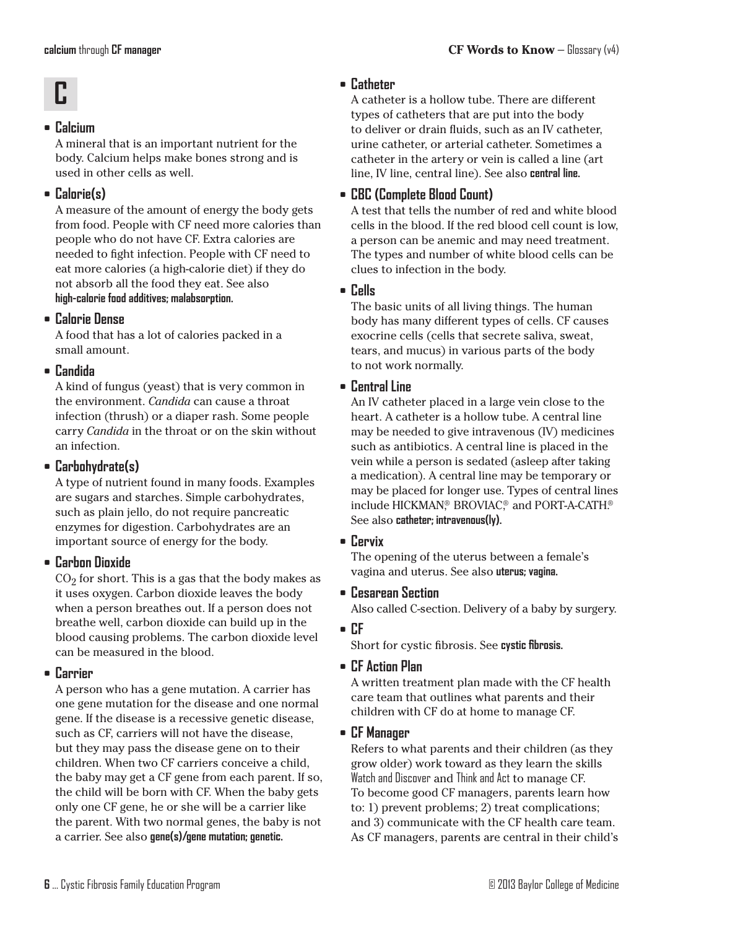## **• Calcium**

A mineral that is an important nutrient for the body. Calcium helps make bones strong and is used in other cells as well.

## **• Calorie(s)**

A measure of the amount of energy the body gets from food. People with CF need more calories than people who do not have CF. Extra calories are needed to fight infection. People with CF need to eat more calories (a high-calorie diet) if they do not absorb all the food they eat. See also **high-calorie food additives; malabsorption.**

## **• Calorie Dense**

A food that has a lot of calories packed in a small amount.

## **• Candida**

A kind of fungus (yeast) that is very common in the environment. *Candida* can cause a throat infection (thrush) or a diaper rash. Some people carry *Candida* in the throat or on the skin without an infection.

## **• Carbohydrate(s)**

A type of nutrient found in many foods. Examples are sugars and starches. Simple carbohydrates, such as plain jello, do not require pancreatic enzymes for digestion. Carbohydrates are an important source of energy for the body.

## **• Carbon Dioxide**

 $CO<sub>2</sub>$  for short. This is a gas that the body makes as it uses oxygen. Carbon dioxide leaves the body when a person breathes out. If a person does not breathe well, carbon dioxide can build up in the blood causing problems. The carbon dioxide level can be measured in the blood.

## **• Carrier**

A person who has a gene mutation. A carrier has one gene mutation for the disease and one normal gene. If the disease is a recessive genetic disease, such as CF, carriers will not have the disease, but they may pass the disease gene on to their children. When two CF carriers conceive a child, the baby may get a CF gene from each parent. If so, the child will be born with CF. When the baby gets only one CF gene, he or she will be a carrier like the parent. With two normal genes, the baby is not a carrier. See also **gene(s)/gene mutation; genetic.**

## **• Catheter**

A catheter is a hollow tube. There are different types of catheters that are put into the body to deliver or drain fluids, such as an IV catheter, urine catheter, or arterial catheter. Sometimes a catheter in the artery or vein is called a line (art line, IV line, central line). See also **central line.**

## **• CBC (Complete Blood Count)**

A test that tells the number of red and white blood cells in the blood. If the red blood cell count is low, a person can be anemic and may need treatment. The types and number of white blood cells can be clues to infection in the body.

## **• Cells**

The basic units of all living things. The human body has many different types of cells. CF causes exocrine cells (cells that secrete saliva, sweat, tears, and mucus) in various parts of the body to not work normally.

## **• Central Line**

An IV catheter placed in a large vein close to the heart. A catheter is a hollow tube. A central line may be needed to give intravenous (IV) medicines such as antibiotics. A central line is placed in the vein while a person is sedated (asleep after taking a medication). A central line may be temporary or may be placed for longer use. Types of central lines include HICKMAN® BROVIAC® and PORT-A-CATH.® See also **catheter; intravenous(ly).**

## **• Cervix**

The opening of the uterus between a female's vagina and uterus. See also **uterus; vagina.**

## **• Cesarean Section**

Also called C-section. Delivery of a baby by surgery.

## **• CF**

Short for cystic fibrosis. See **cystic fibrosis.**

## **• CF Action Plan**

A written treatment plan made with the CF health care team that outlines what parents and their children with CF do at home to manage CF.

## **• CF Manager**

Refers to what parents and their children (as they grow older) work toward as they learn the skills Watch and Discover and Think and Act to manage CF. To become good CF managers, parents learn how to: 1) prevent problems; 2) treat complications; and 3) communicate with the CF health care team. As CF managers, parents are central in their child's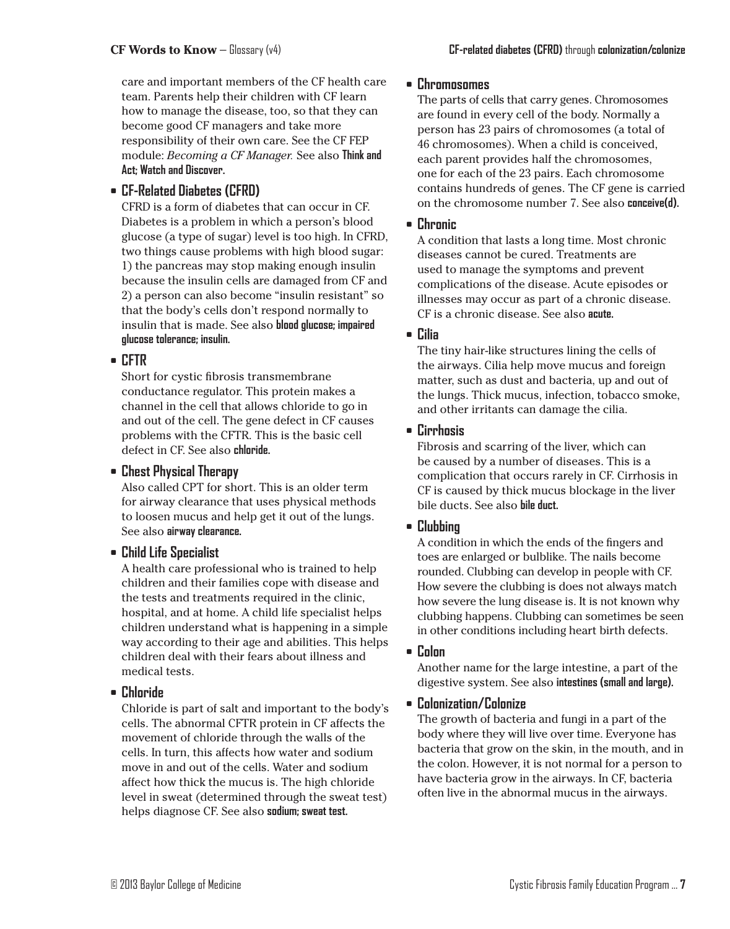care and important members of the CF health care team. Parents help their children with CF learn how to manage the disease, too, so that they can become good CF managers and take more responsibility of their own care. See the CF FEP module: *Becoming a CF Manager.* See also **Think and Act; Watch and Discover.**

## **• CF-Related Diabetes (CFRD)**

CFRD is a form of diabetes that can occur in CF. Diabetes is a problem in which a person's blood glucose (a type of sugar) level is too high. In CFRD, two things cause problems with high blood sugar: 1) the pancreas may stop making enough insulin because the insulin cells are damaged from CF and 2) a person can also become "insulin resistant" so that the body's cells don't respond normally to insulin that is made. See also **blood glucose; impaired glucose tolerance; insulin.**

## **• CFTR**

Short for cystic fibrosis transmembrane conductance regulator. This protein makes a channel in the cell that allows chloride to go in and out of the cell. The gene defect in CF causes problems with the CFTR. This is the basic cell defect in CF. See also **chloride.**

## **• Chest Physical Therapy**

Also called CPT for short. This is an older term for airway clearance that uses physical methods to loosen mucus and help get it out of the lungs. See also **airway clearance.**

## **• Child Life Specialist**

A health care professional who is trained to help children and their families cope with disease and the tests and treatments required in the clinic, hospital, and at home. A child life specialist helps children understand what is happening in a simple way according to their age and abilities. This helps children deal with their fears about illness and medical tests.

## **• Chloride**

Chloride is part of salt and important to the body's cells. The abnormal CFTR protein in CF affects the movement of chloride through the walls of the cells. In turn, this affects how water and sodium move in and out of the cells. Water and sodium affect how thick the mucus is. The high chloride level in sweat (determined through the sweat test) helps diagnose CF. See also **sodium; sweat test.**

#### **• Chromosomes**

The parts of cells that carry genes. Chromosomes are found in every cell of the body. Normally a person has 23 pairs of chromosomes (a total of 46 chromosomes). When a child is conceived, each parent provides half the chromosomes, one for each of the 23 pairs. Each chromosome contains hundreds of genes. The CF gene is carried on the chromosome number 7. See also **conceive(d).**

#### **• Chronic**

A condition that lasts a long time. Most chronic diseases cannot be cured. Treatments are used to manage the symptoms and prevent complications of the disease. Acute episodes or illnesses may occur as part of a chronic disease. CF is a chronic disease. See also **acute.**

### **• Cilia**

The tiny hair-like structures lining the cells of the airways. Cilia help move mucus and foreign matter, such as dust and bacteria, up and out of the lungs. Thick mucus, infection, tobacco smoke, and other irritants can damage the cilia.

### **• Cirrhosis**

Fibrosis and scarring of the liver, which can be caused by a number of diseases. This is a complication that occurs rarely in CF. Cirrhosis in CF is caused by thick mucus blockage in the liver bile ducts. See also **bile duct.**

## **• Clubbing**

A condition in which the ends of the fingers and toes are enlarged or bulblike. The nails become rounded. Clubbing can develop in people with CF. How severe the clubbing is does not always match how severe the lung disease is. It is not known why clubbing happens. Clubbing can sometimes be seen in other conditions including heart birth defects.

#### **• Colon**

Another name for the large intestine, a part of the digestive system. See also **intestines (small and large).**

## **• Colonization/Colonize**

The growth of bacteria and fungi in a part of the body where they will live over time. Everyone has bacteria that grow on the skin, in the mouth, and in the colon. However, it is not normal for a person to have bacteria grow in the airways. In CF, bacteria often live in the abnormal mucus in the airways.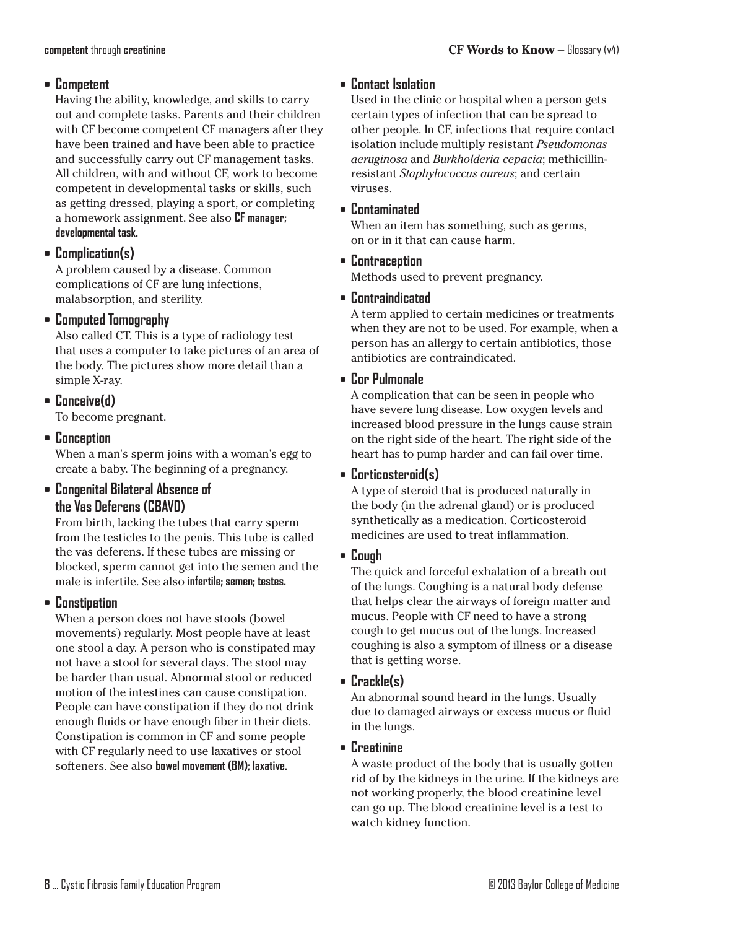### **• Competent**

Having the ability, knowledge, and skills to carry out and complete tasks. Parents and their children with CF become competent CF managers after they have been trained and have been able to practice and successfully carry out CF management tasks. All children, with and without CF, work to become competent in developmental tasks or skills, such as getting dressed, playing a sport, or completing a homework assignment. See also **CF manager; developmental task.**

## **• Complication(s)**

A problem caused by a disease. Common complications of CF are lung infections, malabsorption, and sterility.

## **• Computed Tomography**

Also called CT. This is a type of radiology test that uses a computer to take pictures of an area of the body. The pictures show more detail than a simple X-ray.

**• Conceive(d)**

To become pregnant.

**• Conception**

When a man's sperm joins with a woman's egg to create a baby. The beginning of a pregnancy.

## **• Congenital Bilateral Absence of the Vas Deferens (CBAVD)**

From birth, lacking the tubes that carry sperm from the testicles to the penis. This tube is called the vas deferens. If these tubes are missing or blocked, sperm cannot get into the semen and the male is infertile. See also **infertile; semen; testes.**

**• Constipation**

When a person does not have stools (bowel movements) regularly. Most people have at least one stool a day. A person who is constipated may not have a stool for several days. The stool may be harder than usual. Abnormal stool or reduced motion of the intestines can cause constipation. People can have constipation if they do not drink enough fluids or have enough fiber in their diets. Constipation is common in CF and some people with CF regularly need to use laxatives or stool softeners. See also **bowel movement (BM); laxative.**

## **• Contact Isolation**

Used in the clinic or hospital when a person gets certain types of infection that can be spread to other people. In CF, infections that require contact isolation include multiply resistant *Pseudomonas aeruginosa* and *Burkholderia cepacia*; methicillinresistant *Staphylococcus aureus*; and certain viruses.

**• Contaminated**

When an item has something, such as germs, on or in it that can cause harm.

**• Contraception**

Methods used to prevent pregnancy.

**• Contraindicated**

A term applied to certain medicines or treatments when they are not to be used. For example, when a person has an allergy to certain antibiotics, those antibiotics are contraindicated.

**• Cor Pulmonale**

A complication that can be seen in people who have severe lung disease. Low oxygen levels and increased blood pressure in the lungs cause strain on the right side of the heart. The right side of the heart has to pump harder and can fail over time.

**• Corticosteroid(s)**

A type of steroid that is produced naturally in the body (in the adrenal gland) or is produced synthetically as a medication. Corticosteroid medicines are used to treat inflammation.

**• Cough**

The quick and forceful exhalation of a breath out of the lungs. Coughing is a natural body defense that helps clear the airways of foreign matter and mucus. People with CF need to have a strong cough to get mucus out of the lungs. Increased coughing is also a symptom of illness or a disease that is getting worse.

## **• Crackle(s)**

An abnormal sound heard in the lungs. Usually due to damaged airways or excess mucus or fluid in the lungs.

**• Creatinine**

A waste product of the body that is usually gotten rid of by the kidneys in the urine. If the kidneys are not working properly, the blood creatinine level can go up. The blood creatinine level is a test to watch kidney function.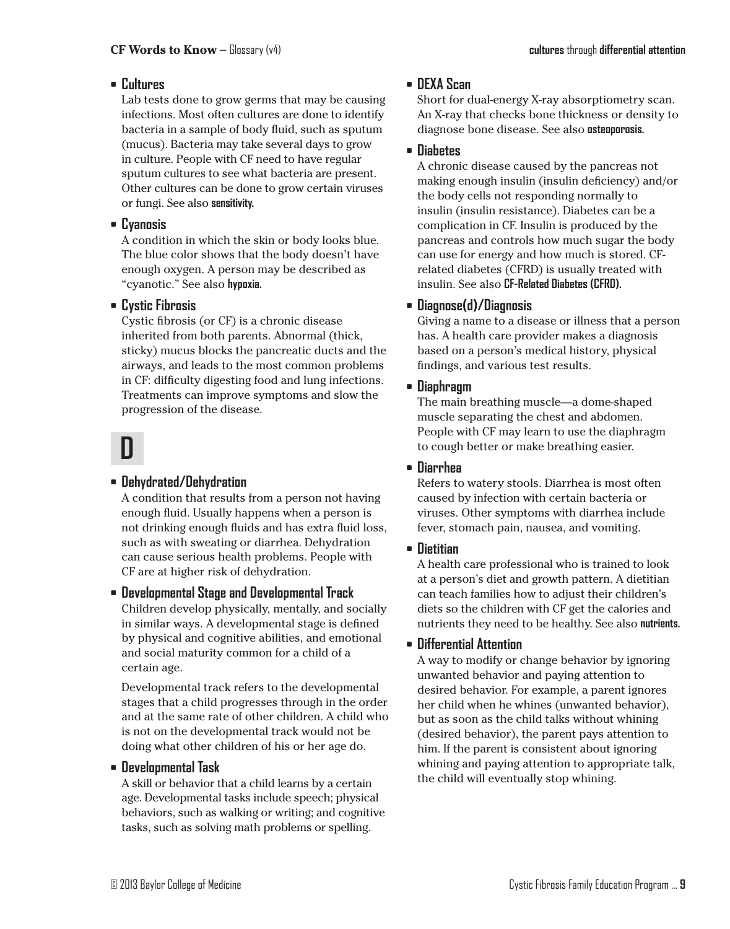## **• Cultures**

Lab tests done to grow germs that may be causing infections. Most often cultures are done to identify bacteria in a sample of body fluid, such as sputum (mucus). Bacteria may take several days to grow in culture. People with CF need to have regular sputum cultures to see what bacteria are present. Other cultures can be done to grow certain viruses or fungi. See also **sensitivity.**

#### **• Cyanosis**

A condition in which the skin or body looks blue. The blue color shows that the body doesn't have enough oxygen. A person may be described as "cyanotic." See also **hypoxia.**

### **• Cystic Fibrosis**

Cystic fibrosis (or CF) is a chronic disease inherited from both parents. Abnormal (thick, sticky) mucus blocks the pancreatic ducts and the airways, and leads to the most common problems in CF: difficulty digesting food and lung infections. Treatments can improve symptoms and slow the progression of the disease.

## **D**

#### **• Dehydrated/Dehydration**

A condition that results from a person not having enough fluid. Usually happens when a person is not drinking enough fluids and has extra fluid loss, such as with sweating or diarrhea. Dehydration can cause serious health problems. People with CF are at higher risk of dehydration.

#### **• Developmental Stage and Developmental Track** Children develop physically, mentally, and socially

in similar ways. A developmental stage is defined by physical and cognitive abilities, and emotional and social maturity common for a child of a certain age.

Developmental track refers to the developmental stages that a child progresses through in the order and at the same rate of other children. A child who is not on the developmental track would not be doing what other children of his or her age do.

#### **• Developmental Task**

A skill or behavior that a child learns by a certain age. Developmental tasks include speech; physical behaviors, such as walking or writing; and cognitive tasks, such as solving math problems or spelling.

## **• DEXA Scan**

Short for dual-energy X-ray absorptiometry scan. An X-ray that checks bone thickness or density to diagnose bone disease. See also **osteoporosis.**

#### **• Diabetes**

A chronic disease caused by the pancreas not making enough insulin (insulin deficiency) and/or the body cells not responding normally to insulin (insulin resistance). Diabetes can be a complication in CF. Insulin is produced by the pancreas and controls how much sugar the body can use for energy and how much is stored. CFrelated diabetes (CFRD) is usually treated with insulin. See also **CF-Related Diabetes (CFRD).**

### **• Diagnose(d)/Diagnosis**

Giving a name to a disease or illness that a person has. A health care provider makes a diagnosis based on a person's medical history, physical findings, and various test results.

### **• Diaphragm**

The main breathing muscle—a dome-shaped muscle separating the chest and abdomen. People with CF may learn to use the diaphragm to cough better or make breathing easier.

**• Diarrhea**

Refers to watery stools. Diarrhea is most often caused by infection with certain bacteria or viruses. Other symptoms with diarrhea include fever, stomach pain, nausea, and vomiting.

## **• Dietitian**

A health care professional who is trained to look at a person's diet and growth pattern. A dietitian can teach families how to adjust their children's diets so the children with CF get the calories and nutrients they need to be healthy. See also **nutrients.**

## **• Differential Attention**

A way to modify or change behavior by ignoring unwanted behavior and paying attention to desired behavior. For example, a parent ignores her child when he whines (unwanted behavior), but as soon as the child talks without whining (desired behavior), the parent pays attention to him. If the parent is consistent about ignoring whining and paying attention to appropriate talk, the child will eventually stop whining.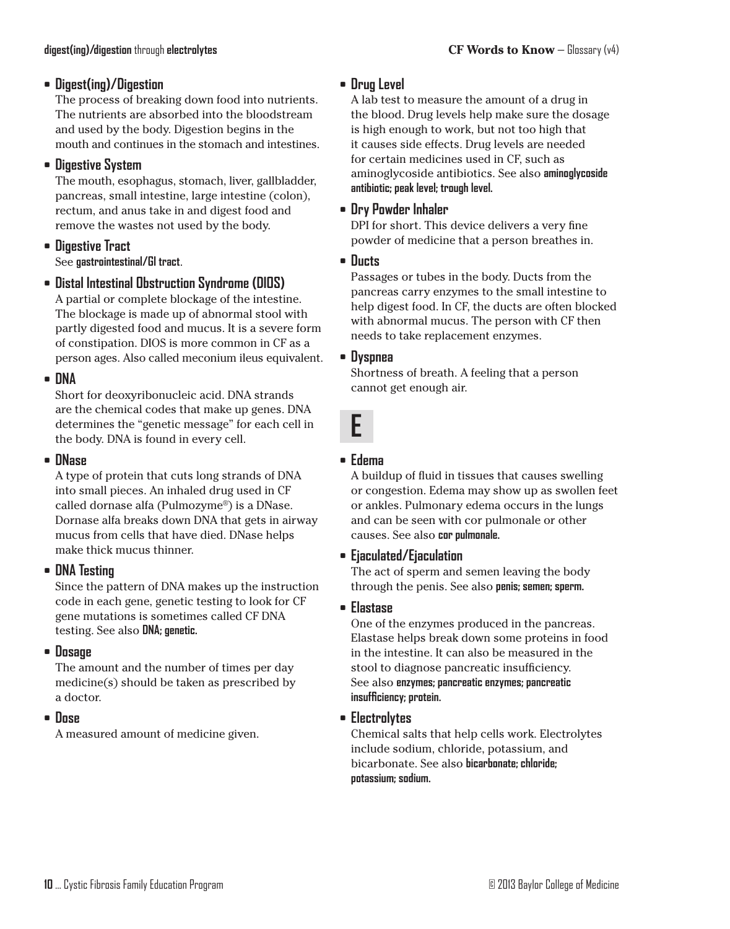## **• Digest(ing)/Digestion**

The process of breaking down food into nutrients. The nutrients are absorbed into the bloodstream and used by the body. Digestion begins in the mouth and continues in the stomach and intestines.

## **• Digestive System**

The mouth, esophagus, stomach, liver, gallbladder, pancreas, small intestine, large intestine (colon), rectum, and anus take in and digest food and remove the wastes not used by the body.

## **• Digestive Tract**

See **gastrointestinal/GI tract**.

#### **• Distal Intestinal Obstruction Syndrome (DIOS)**

A partial or complete blockage of the intestine. The blockage is made up of abnormal stool with partly digested food and mucus. It is a severe form of constipation. DIOS is more common in CF as a person ages. Also called meconium ileus equivalent.

### **• DNA**

Short for deoxyribonucleic acid. DNA strands are the chemical codes that make up genes. DNA determines the "genetic message" for each cell in the body. DNA is found in every cell.

#### **• DNase**

A type of protein that cuts long strands of DNA into small pieces. An inhaled drug used in CF called dornase alfa (Pulmozyme®) is a DNase. Dornase alfa breaks down DNA that gets in airway mucus from cells that have died. DNase helps make thick mucus thinner.

#### **• DNA Testing**

Since the pattern of DNA makes up the instruction code in each gene, genetic testing to look for CF gene mutations is sometimes called CF DNA testing. See also **DNA; genetic.**

#### **• Dosage**

The amount and the number of times per day medicine(s) should be taken as prescribed by a doctor.

#### **• Dose**

A measured amount of medicine given.

## **• Drug Level**

A lab test to measure the amount of a drug in the blood. Drug levels help make sure the dosage is high enough to work, but not too high that it causes side effects. Drug levels are needed for certain medicines used in CF, such as aminoglycoside antibiotics. See also **aminoglycoside antibiotic; peak level; trough level.**

#### **• Dry Powder Inhaler**

DPI for short. This device delivers a very fine powder of medicine that a person breathes in.

#### **• Ducts**

Passages or tubes in the body. Ducts from the pancreas carry enzymes to the small intestine to help digest food. In CF, the ducts are often blocked with abnormal mucus. The person with CF then needs to take replacement enzymes.

#### **• Dyspnea**

Shortness of breath. A feeling that a person cannot get enough air.

# **E**

#### **• Edema**

A buildup of fluid in tissues that causes swelling or congestion. Edema may show up as swollen feet or ankles. Pulmonary edema occurs in the lungs and can be seen with cor pulmonale or other causes. See also **cor pulmonale.**

#### **• Ejaculated/Ejaculation**

The act of sperm and semen leaving the body through the penis. See also **penis; semen; sperm.**

#### **• Elastase**

One of the enzymes produced in the pancreas. Elastase helps break down some proteins in food in the intestine. It can also be measured in the stool to diagnose pancreatic insufficiency. See also **enzymes; pancreatic enzymes; pancreatic insufficiency; protein.**

#### **• Electrolytes**

Chemical salts that help cells work. Electrolytes include sodium, chloride, potassium, and bicarbonate. See also **bicarbonate; chloride; potassium; sodium.**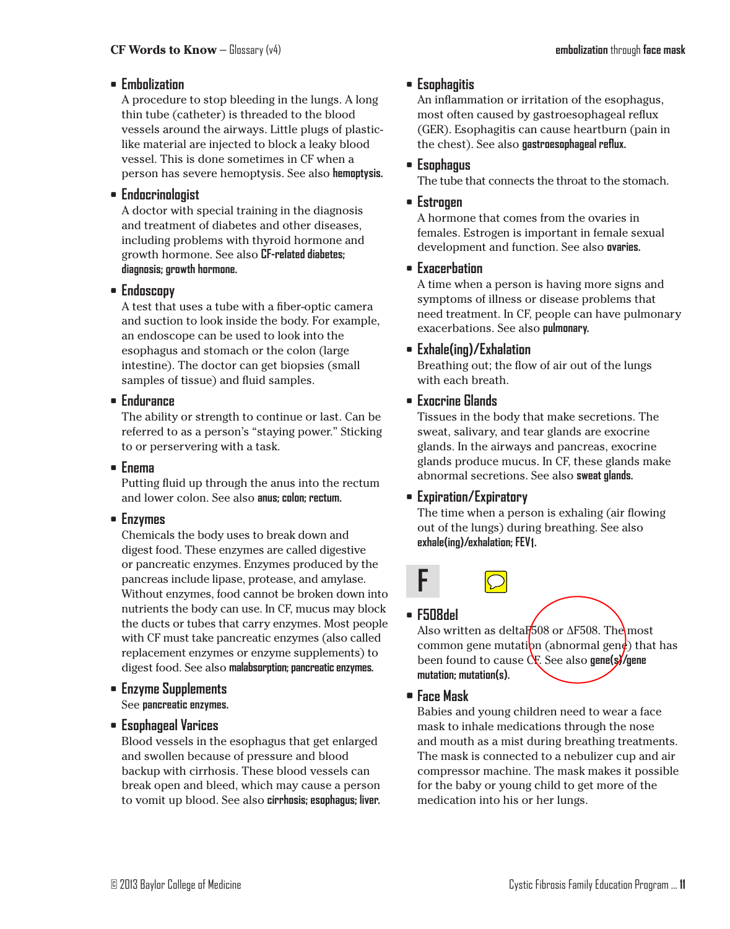## **• Embolization**

A procedure to stop bleeding in the lungs. A long thin tube (catheter) is threaded to the blood vessels around the airways. Little plugs of plasticlike material are injected to block a leaky blood vessel. This is done sometimes in CF when a person has severe hemoptysis. See also **hemoptysis.**

#### **• Endocrinologist**

A doctor with special training in the diagnosis and treatment of diabetes and other diseases, including problems with thyroid hormone and growth hormone. See also **CF-related diabetes; diagnosis; growth hormone.**

#### **• Endoscopy**

A test that uses a tube with a fiber-optic camera and suction to look inside the body. For example, an endoscope can be used to look into the esophagus and stomach or the colon (large intestine). The doctor can get biopsies (small samples of tissue) and fluid samples.

### **• Endurance**

The ability or strength to continue or last. Can be referred to as a person's "staying power." Sticking to or perservering with a task.

## **• Enema**

Putting fluid up through the anus into the rectum and lower colon. See also **anus; colon; rectum.**

## **• Enzymes**

Chemicals the body uses to break down and digest food. These enzymes are called digestive or pancreatic enzymes. Enzymes produced by the pancreas include lipase, protease, and amylase. Without enzymes, food cannot be broken down into nutrients the body can use. In CF, mucus may block the ducts or tubes that carry enzymes. Most people with CF must take pancreatic enzymes (also called replacement enzymes or enzyme supplements) to digest food. See also **malabsorption; pancreatic enzymes.**

#### **• Enzyme Supplements** See **pancreatic enzymes.**

## **• Esophageal Varices**

Blood vessels in the esophagus that get enlarged and swollen because of pressure and blood backup with cirrhosis. These blood vessels can break open and bleed, which may cause a person to vomit up blood. See also **cirrhosis; esophagus; liver.**

## **• Esophagitis**

An inflammation or irritation of the esophagus, most often caused by gastroesophageal reflux (GER). Esophagitis can cause heartburn (pain in the chest). See also **gastroesophageal reflux.**

### **• Esophagus**

The tube that connects the throat to the stomach.

### **• Estrogen**

A hormone that comes from the ovaries in females. Estrogen is important in female sexual development and function. See also **ovaries.**

### **• Exacerbation**

A time when a person is having more signs and symptoms of illness or disease problems that need treatment. In CF, people can have pulmonary exacerbations. See also **pulmonary.**

### **• Exhale(ing)/Exhalation**

Breathing out; the flow of air out of the lungs with each breath.

## **• Exocrine Glands**

Tissues in the body that make secretions. The sweat, salivary, and tear glands are exocrine glands. In the airways and pancreas, exocrine glands produce mucus. In CF, these glands make abnormal secretions. See also **sweat glands.**

## **• Expiration/Expiratory**

The time when a person is exhaling (air flowing out of the lungs) during breathing. See also **exhale(ing)/exhalation; FEV1.**

## **• F508del**

**F**

Also written as deltaF<sub>508</sub> or ∆F508. The most common gene mutation (abnormal genop) that has been found to cause CF. See also **gene(s)/gene mutation; mutation(s).**

#### **• Face Mask**

Babies and young children need to wear a face mask to inhale medications through the nose and mouth as a mist during breathing treatments. The mask is connected to a nebulizer cup and air compressor machine. The mask makes it possible for the baby or young child to get more of the medication into his or her lungs.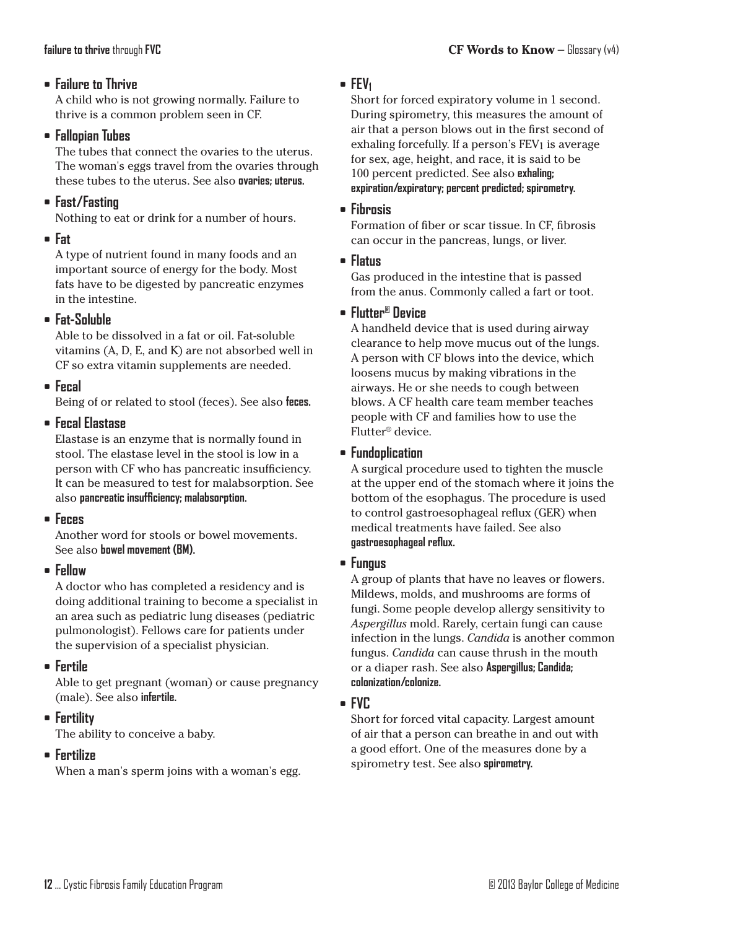## **• Failure to Thrive**

A child who is not growing normally. Failure to thrive is a common problem seen in CF.

#### **• Fallopian Tubes**

The tubes that connect the ovaries to the uterus. The woman's eggs travel from the ovaries through these tubes to the uterus. See also **ovaries; uterus.**

## **• Fast/Fasting**

Nothing to eat or drink for a number of hours.

## **• Fat**

A type of nutrient found in many foods and an important source of energy for the body. Most fats have to be digested by pancreatic enzymes in the intestine.

## **• Fat-Soluble**

Able to be dissolved in a fat or oil. Fat-soluble vitamins (A, D, E, and K) are not absorbed well in CF so extra vitamin supplements are needed.

## **• Fecal**

Being of or related to stool (feces). See also **feces.**

### **• Fecal Elastase**

Elastase is an enzyme that is normally found in stool. The elastase level in the stool is low in a person with CF who has pancreatic insufficiency. It can be measured to test for malabsorption. See also **pancreatic insufficiency; malabsorption.**

## **• Feces**

Another word for stools or bowel movements. See also **bowel movement (BM).**

## **• Fellow**

A doctor who has completed a residency and is doing additional training to become a specialist in an area such as pediatric lung diseases (pediatric pulmonologist). Fellows care for patients under the supervision of a specialist physician.

## **• Fertile**

Able to get pregnant (woman) or cause pregnancy (male). See also **infertile.**

## **• Fertility**

The ability to conceive a baby.

## **• Fertilize**

When a man's sperm joins with a woman's egg.

### **• FEV1**

Short for forced expiratory volume in 1 second. During spirometry, this measures the amount of air that a person blows out in the first second of exhaling forcefully. If a person's FEV1 is average for sex, age, height, and race, it is said to be 100 percent predicted. See also **exhaling; expiration/expiratory; percent predicted; spirometry.**

### **• Fibrosis**

Formation of fiber or scar tissue. In CF, fibrosis can occur in the pancreas, lungs, or liver.

#### **• Flatus**

Gas produced in the intestine that is passed from the anus. Commonly called a fart or toot.

### **• Flutter® Device**

A handheld device that is used during airway clearance to help move mucus out of the lungs. A person with CF blows into the device, which loosens mucus by making vibrations in the airways. He or she needs to cough between blows. A CF health care team member teaches people with CF and families how to use the Flutter® device.

### **• Fundoplication**

A surgical procedure used to tighten the muscle at the upper end of the stomach where it joins the bottom of the esophagus. The procedure is used to control gastroesophageal reflux (GER) when medical treatments have failed. See also **gastroesophageal reflux.**

## **• Fungus**

A group of plants that have no leaves or flowers. Mildews, molds, and mushrooms are forms of fungi. Some people develop allergy sensitivity to *Aspergillus* mold. Rarely, certain fungi can cause infection in the lungs. *Candida* is another common fungus. *Candida* can cause thrush in the mouth or a diaper rash. See also **Aspergillus; Candida; colonization/colonize.**

## **• FVC**

Short for forced vital capacity. Largest amount of air that a person can breathe in and out with a good effort. One of the measures done by a spirometry test. See also **spirometry.**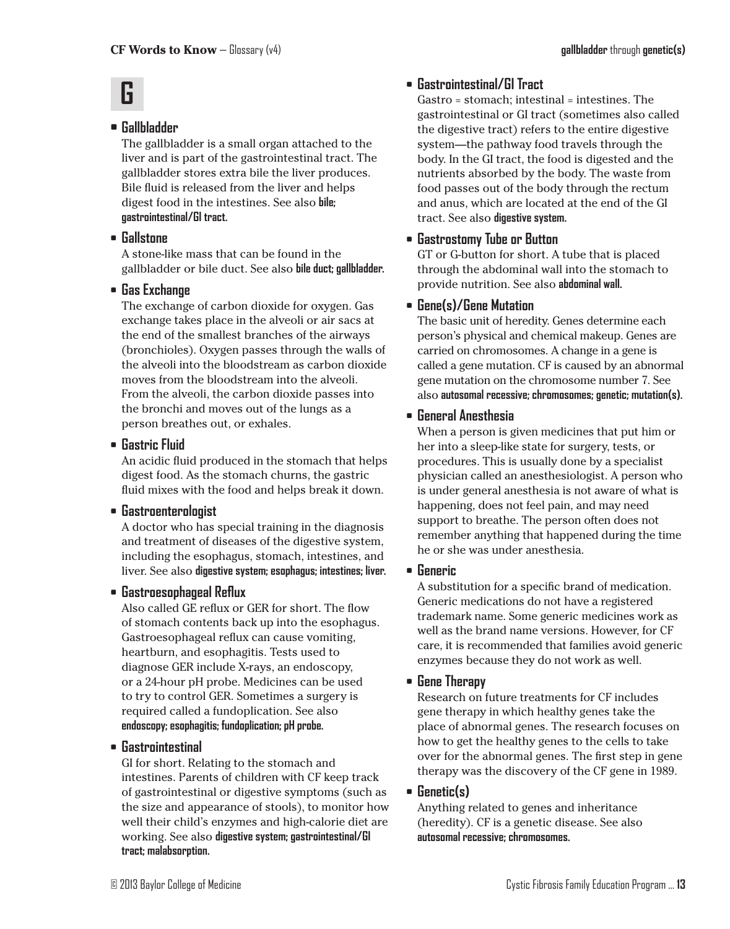## **G**

## **• Gallbladder**

The gallbladder is a small organ attached to the liver and is part of the gastrointestinal tract. The gallbladder stores extra bile the liver produces. Bile fluid is released from the liver and helps digest food in the intestines. See also **bile; gastrointestinal/GI tract.**

## **• Gallstone**

A stone-like mass that can be found in the gallbladder or bile duct. See also **bile duct; gallbladder.**

## **• Gas Exchange**

The exchange of carbon dioxide for oxygen. Gas exchange takes place in the alveoli or air sacs at the end of the smallest branches of the airways (bronchioles). Oxygen passes through the walls of the alveoli into the bloodstream as carbon dioxide moves from the bloodstream into the alveoli. From the alveoli, the carbon dioxide passes into the bronchi and moves out of the lungs as a person breathes out, or exhales.

## **• Gastric Fluid**

An acidic fluid produced in the stomach that helps digest food. As the stomach churns, the gastric fluid mixes with the food and helps break it down.

## **• Gastroenterologist**

A doctor who has special training in the diagnosis and treatment of diseases of the digestive system, including the esophagus, stomach, intestines, and liver. See also **digestive system; esophagus; intestines; liver.**

## **• Gastroesophageal Reflux**

Also called GE reflux or GER for short. The flow of stomach contents back up into the esophagus. Gastroesophageal reflux can cause vomiting, heartburn, and esophagitis. Tests used to diagnose GER include X-rays, an endoscopy, or a 24-hour pH probe. Medicines can be used to try to control GER. Sometimes a surgery is required called a fundoplication. See also **endoscopy; esophagitis; fundoplication; pH probe.**

## **• Gastrointestinal**

GI for short. Relating to the stomach and intestines. Parents of children with CF keep track of gastrointestinal or digestive symptoms (such as the size and appearance of stools), to monitor how well their child's enzymes and high-calorie diet are working. See also **digestive system; gastrointestinal/GI tract; malabsorption.**

## **• Gastrointestinal/GI Tract**

Gastro = stomach; intestinal = intestines. The gastrointestinal or GI tract (sometimes also called the digestive tract) refers to the entire digestive system—the pathway food travels through the body. In the GI tract, the food is digested and the nutrients absorbed by the body. The waste from food passes out of the body through the rectum and anus, which are located at the end of the GI tract. See also **digestive system.**

## **• Gastrostomy Tube or Button**

GT or G-button for short. A tube that is placed through the abdominal wall into the stomach to provide nutrition. See also **abdominal wall.**

## **• Gene(s)/Gene Mutation**

The basic unit of heredity. Genes determine each person's physical and chemical makeup. Genes are carried on chromosomes. A change in a gene is called a gene mutation. CF is caused by an abnormal gene mutation on the chromosome number 7. See also **autosomal recessive; chromosomes; genetic; mutation(s).**

## **• General Anesthesia**

When a person is given medicines that put him or her into a sleep-like state for surgery, tests, or procedures. This is usually done by a specialist physician called an anesthesiologist. A person who is under general anesthesia is not aware of what is happening, does not feel pain, and may need support to breathe. The person often does not remember anything that happened during the time he or she was under anesthesia.

## **• Generic**

A substitution for a specific brand of medication. Generic medications do not have a registered trademark name. Some generic medicines work as well as the brand name versions. However, for CF care, it is recommended that families avoid generic enzymes because they do not work as well.

#### **• Gene Therapy**

Research on future treatments for CF includes gene therapy in which healthy genes take the place of abnormal genes. The research focuses on how to get the healthy genes to the cells to take over for the abnormal genes. The first step in gene therapy was the discovery of the CF gene in 1989.

## **• Genetic(s)**

Anything related to genes and inheritance (heredity). CF is a genetic disease. See also **autosomal recessive; chromosomes.**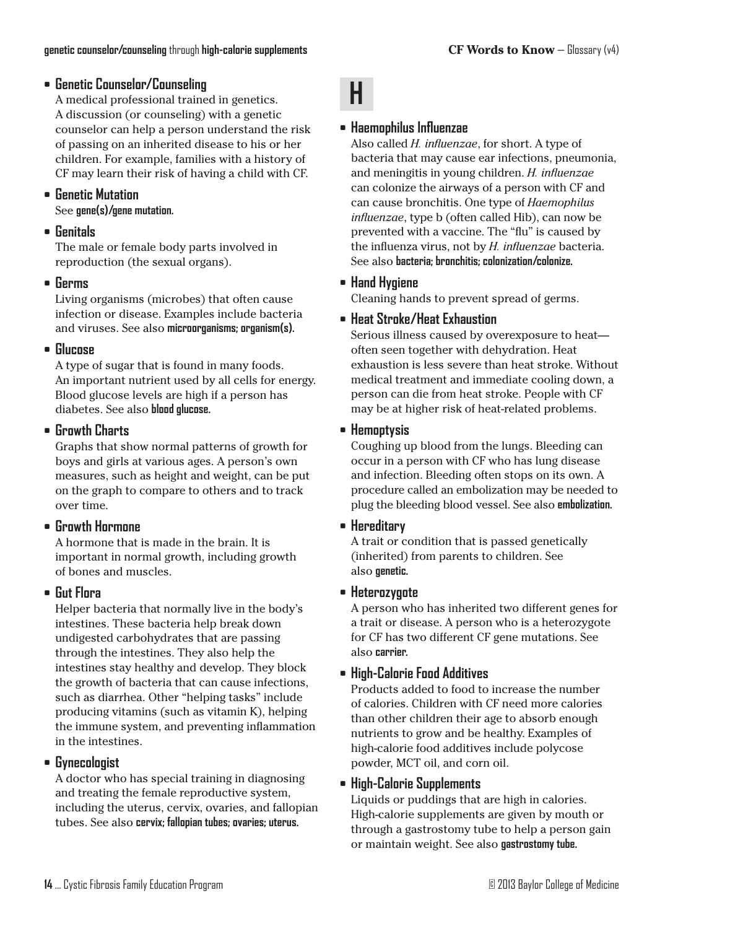## **• Genetic Counselor/Counseling**

A medical professional trained in genetics. A discussion (or counseling) with a genetic counselor can help a person understand the risk of passing on an inherited disease to his or her children. For example, families with a history of CF may learn their risk of having a child with CF.

## **• Genetic Mutation**

See **gene(s)/gene mutation.**

#### **• Genitals**

The male or female body parts involved in reproduction (the sexual organs).

#### **• Germs**

Living organisms (microbes) that often cause infection or disease. Examples include bacteria and viruses. See also **microorganisms; organism(s).**

#### **• Glucose**

A type of sugar that is found in many foods. An important nutrient used by all cells for energy. Blood glucose levels are high if a person has diabetes. See also **blood glucose.**

#### **• Growth Charts**

Graphs that show normal patterns of growth for boys and girls at various ages. A person's own measures, such as height and weight, can be put on the graph to compare to others and to track over time.

## **• Growth Hormone**

A hormone that is made in the brain. It is important in normal growth, including growth of bones and muscles.

#### **• Gut Flora**

Helper bacteria that normally live in the body's intestines. These bacteria help break down undigested carbohydrates that are passing through the intestines. They also help the intestines stay healthy and develop. They block the growth of bacteria that can cause infections, such as diarrhea. Other "helping tasks" include producing vitamins (such as vitamin K), helping the immune system, and preventing inflammation in the intestines.

#### **• Gynecologist**

A doctor who has special training in diagnosing and treating the female reproductive system, including the uterus, cervix, ovaries, and fallopian tubes. See also **cervix; fallopian tubes; ovaries; uterus.**

### **• Haemophilus Influenzae**

**H**

Also called *H. influenzae*, for short. A type of bacteria that may cause ear infections, pneumonia, and meningitis in young children. *H. influenzae* can colonize the airways of a person with CF and can cause bronchitis. One type of *Haemophilus influenzae*, type b (often called Hib), can now be prevented with a vaccine. The "flu" is caused by the influenza virus, not by *H. influenzae* bacteria. See also **bacteria; bronchitis; colonization/colonize.**

### **• Hand Hygiene**

Cleaning hands to prevent spread of germs.

#### **• Heat Stroke/Heat Exhaustion**

Serious illness caused by overexposure to heat often seen together with dehydration. Heat exhaustion is less severe than heat stroke. Without medical treatment and immediate cooling down, a person can die from heat stroke. People with CF may be at higher risk of heat-related problems.

#### **• Hemoptysis**

Coughing up blood from the lungs. Bleeding can occur in a person with CF who has lung disease and infection. Bleeding often stops on its own. A procedure called an embolization may be needed to plug the bleeding blood vessel. See also **embolization.**

#### **• Hereditary**

A trait or condition that is passed genetically (inherited) from parents to children. See also **genetic.**

#### **• Heterozygote**

A person who has inherited two different genes for a trait or disease. A person who is a heterozygote for CF has two different CF gene mutations. See also **carrier.**

#### **• High-Calorie Food Additives**

Products added to food to increase the number of calories. Children with CF need more calories than other children their age to absorb enough nutrients to grow and be healthy. Examples of high-calorie food additives include polycose powder, MCT oil, and corn oil.

#### **• High-Calorie Supplements**

Liquids or puddings that are high in calories. High-calorie supplements are given by mouth or through a gastrostomy tube to help a person gain or maintain weight. See also **gastrostomy tube.**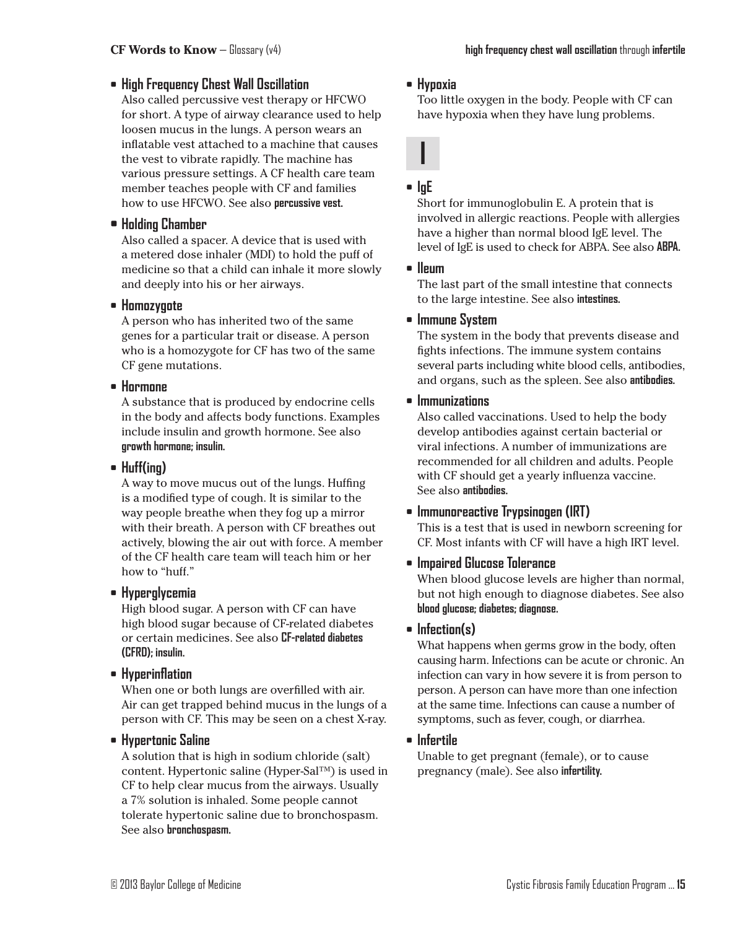## **• High Frequency Chest Wall Oscillation**

Also called percussive vest therapy or HFCWO for short. A type of airway clearance used to help loosen mucus in the lungs. A person wears an inflatable vest attached to a machine that causes the vest to vibrate rapidly. The machine has various pressure settings. A CF health care team member teaches people with CF and families how to use HFCWO. See also **percussive vest.**

## **• Holding Chamber**

Also called a spacer. A device that is used with a metered dose inhaler (MDI) to hold the puff of medicine so that a child can inhale it more slowly and deeply into his or her airways.

#### **• Homozygote**

A person who has inherited two of the same genes for a particular trait or disease. A person who is a homozygote for CF has two of the same CF gene mutations.

#### **• Hormone**

A substance that is produced by endocrine cells in the body and affects body functions. Examples include insulin and growth hormone. See also **growth hormone; insulin.**

#### **• Huff(ing)**

A way to move mucus out of the lungs. Huffing is a modified type of cough. It is similar to the way people breathe when they fog up a mirror with their breath. A person with CF breathes out actively, blowing the air out with force. A member of the CF health care team will teach him or her how to "huff."

#### **• Hyperglycemia**

High blood sugar. A person with CF can have high blood sugar because of CF-related diabetes or certain medicines. See also **CF-related diabetes (CFRD); insulin.**

#### **• Hyperinflation**

When one or both lungs are overfilled with air. Air can get trapped behind mucus in the lungs of a person with CF. This may be seen on a chest X-ray.

#### **• Hypertonic Saline**

A solution that is high in sodium chloride (salt) content. Hypertonic saline (Hyper-Sal™) is used in CF to help clear mucus from the airways. Usually a 7% solution is inhaled. Some people cannot tolerate hypertonic saline due to bronchospasm. See also **bronchospasm.**

#### **• Hypoxia**

Too little oxygen in the body. People with CF can have hypoxia when they have lung problems.

## **• IgE**

**I**

Short for immunoglobulin E. A protein that is involved in allergic reactions. People with allergies have a higher than normal blood IgE level. The level of IgE is used to check for ABPA. See also **ABPA.**

#### **• Ileum**

The last part of the small intestine that connects to the large intestine. See also **intestines.**

### **• Immune System**

The system in the body that prevents disease and fights infections. The immune system contains several parts including white blood cells, antibodies, and organs, such as the spleen. See also **antibodies.**

#### **• Immunizations**

Also called vaccinations. Used to help the body develop antibodies against certain bacterial or viral infections. A number of immunizations are recommended for all children and adults. People with CF should get a yearly influenza vaccine. See also **antibodies.**

## **• Immunoreactive Trypsinogen (IRT)**

This is a test that is used in newborn screening for CF. Most infants with CF will have a high IRT level.

#### **• Impaired Glucose Tolerance**

When blood glucose levels are higher than normal, but not high enough to diagnose diabetes. See also **blood glucose; diabetes; diagnose.**

#### **• Infection(s)**

What happens when germs grow in the body, often causing harm. Infections can be acute or chronic. An infection can vary in how severe it is from person to person. A person can have more than one infection at the same time. Infections can cause a number of symptoms, such as fever, cough, or diarrhea.

#### **• Infertile**

Unable to get pregnant (female), or to cause pregnancy (male). See also **infertility.**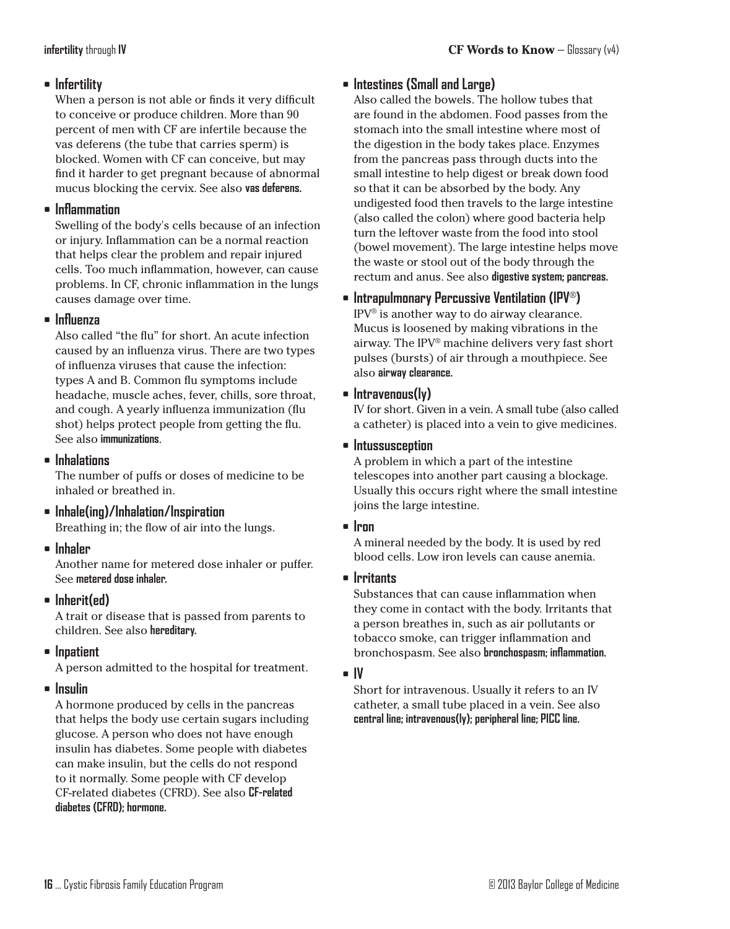## **• Infertility**

When a person is not able or finds it very difficult to conceive or produce children. More than 90 percent of men with CF are infertile because the vas deferens (the tube that carries sperm) is blocked. Women with CF can conceive, but may find it harder to get pregnant because of abnormal mucus blocking the cervix. See also **vas deferens.**

## **• Inflammation**

Swelling of the body's cells because of an infection or injury. Inflammation can be a normal reaction that helps clear the problem and repair injured cells. Too much inflammation, however, can cause problems. In CF, chronic inflammation in the lungs causes damage over time.

### **• Influenza**

Also called "the flu" for short. An acute infection caused by an influenza virus. There are two types of influenza viruses that cause the infection: types A and B. Common flu symptoms include headache, muscle aches, fever, chills, sore throat, and cough. A yearly influenza immunization (flu shot) helps protect people from getting the flu. See also **immunizations**.

### **• Inhalations**

The number of puffs or doses of medicine to be inhaled or breathed in.

- **• Inhale(ing)/Inhalation/Inspiration** Breathing in; the flow of air into the lungs.
- **• Inhaler**

Another name for metered dose inhaler or puffer. See **metered dose inhaler.**

**• Inherit(ed)**

A trait or disease that is passed from parents to children. See also **hereditary.**

**• Inpatient**

A person admitted to the hospital for treatment.

#### **• Insulin**

A hormone produced by cells in the pancreas that helps the body use certain sugars including glucose. A person who does not have enough insulin has diabetes. Some people with diabetes can make insulin, but the cells do not respond to it normally. Some people with CF develop CF-related diabetes (CFRD). See also **CF-related diabetes (CFRD); hormone.**

## **• Intestines (Small and Large)**

Also called the bowels. The hollow tubes that are found in the abdomen. Food passes from the stomach into the small intestine where most of the digestion in the body takes place. Enzymes from the pancreas pass through ducts into the small intestine to help digest or break down food so that it can be absorbed by the body. Any undigested food then travels to the large intestine (also called the colon) where good bacteria help turn the leftover waste from the food into stool (bowel movement). The large intestine helps move the waste or stool out of the body through the rectum and anus. See also **digestive system; pancreas.**

## **• Intrapulmonary Percussive Ventilation (IPV**®**)**

IPV® is another way to do airway clearance. Mucus is loosened by making vibrations in the airway. The IPV® machine delivers very fast short pulses (bursts) of air through a mouthpiece. See also **airway clearance.**

### **• Intravenous(ly)**

IV for short. Given in a vein. A small tube (also called a catheter) is placed into a vein to give medicines.

### **• Intussusception**

A problem in which a part of the intestine telescopes into another part causing a blockage. Usually this occurs right where the small intestine joins the large intestine.

#### **• Iron**

A mineral needed by the body. It is used by red blood cells. Low iron levels can cause anemia.

#### **• Irritants**

Substances that can cause inflammation when they come in contact with the body. Irritants that a person breathes in, such as air pollutants or tobacco smoke, can trigger inflammation and bronchospasm. See also **bronchospasm; inflammation.**

#### **• IV**

Short for intravenous. Usually it refers to an IV catheter, a small tube placed in a vein. See also **central line; intravenous(ly); peripheral line; PICC line.**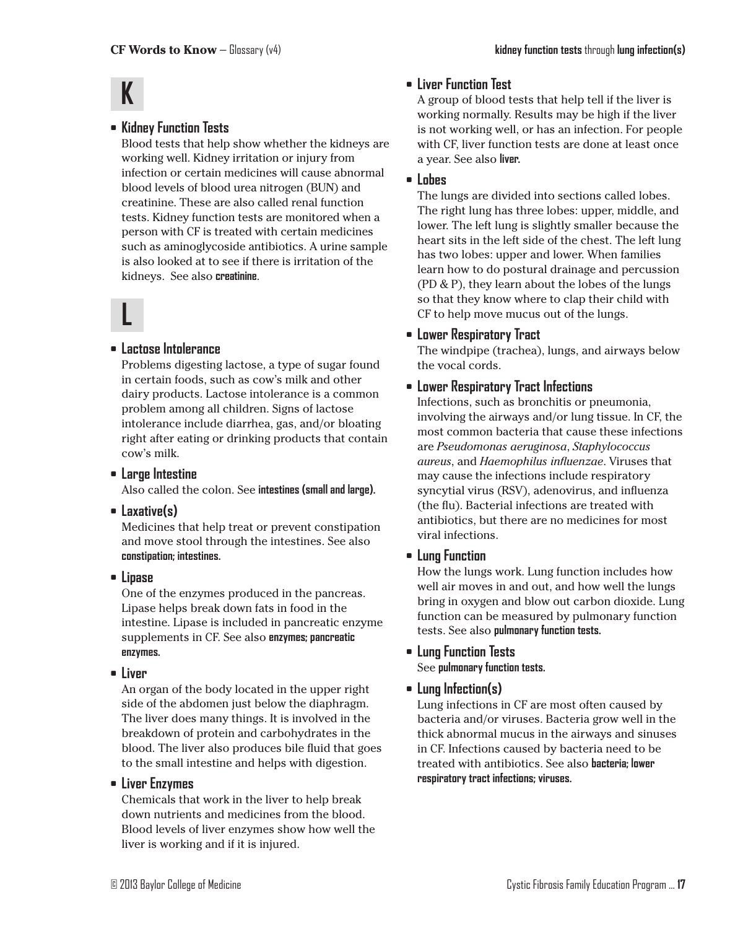# **K**

## **• Kidney Function Tests**

Blood tests that help show whether the kidneys are working well. Kidney irritation or injury from infection or certain medicines will cause abnormal blood levels of blood urea nitrogen (BUN) and creatinine. These are also called renal function tests. Kidney function tests are monitored when a person with CF is treated with certain medicines such as aminoglycoside antibiotics. A urine sample is also looked at to see if there is irritation of the kidneys. See also **creatinine**.

# **L**

#### **• Lactose Intolerance**

Problems digesting lactose, a type of sugar found in certain foods, such as cow's milk and other dairy products. Lactose intolerance is a common problem among all children. Signs of lactose intolerance include diarrhea, gas, and/or bloating right after eating or drinking products that contain cow's milk.

**• Large Intestine**

Also called the colon. See **intestines (small and large).**

**• Laxative(s)**

Medicines that help treat or prevent constipation and move stool through the intestines. See also **constipation; intestines.**

**• Lipase**

One of the enzymes produced in the pancreas. Lipase helps break down fats in food in the intestine. Lipase is included in pancreatic enzyme supplements in CF. See also **enzymes; pancreatic enzymes.**

**• Liver**

An organ of the body located in the upper right side of the abdomen just below the diaphragm. The liver does many things. It is involved in the breakdown of protein and carbohydrates in the blood. The liver also produces bile fluid that goes to the small intestine and helps with digestion.

#### **• Liver Enzymes**

Chemicals that work in the liver to help break down nutrients and medicines from the blood. Blood levels of liver enzymes show how well the liver is working and if it is injured.

## **• Liver Function Test**

A group of blood tests that help tell if the liver is working normally. Results may be high if the liver is not working well, or has an infection. For people with CF, liver function tests are done at least once a year. See also **liver.**

### **• Lobes**

The lungs are divided into sections called lobes. The right lung has three lobes: upper, middle, and lower. The left lung is slightly smaller because the heart sits in the left side of the chest. The left lung has two lobes: upper and lower. When families learn how to do postural drainage and percussion (PD & P), they learn about the lobes of the lungs so that they know where to clap their child with CF to help move mucus out of the lungs.

### **• Lower Respiratory Tract**

The windpipe (trachea), lungs, and airways below the vocal cords.

### **• Lower Respiratory Tract Infections**

Infections, such as bronchitis or pneumonia, involving the airways and/or lung tissue. In CF, the most common bacteria that cause these infections are *Pseudomonas aeruginosa*, *Staphylococcus aureus*, and *Haemophilus influenzae*. Viruses that may cause the infections include respiratory syncytial virus (RSV), adenovirus, and influenza (the flu). Bacterial infections are treated with antibiotics, but there are no medicines for most viral infections.

#### **• Lung Function**

How the lungs work. Lung function includes how well air moves in and out, and how well the lungs bring in oxygen and blow out carbon dioxide. Lung function can be measured by pulmonary function tests. See also **pulmonary function tests.**

#### **• Lung Function Tests**

See **pulmonary function tests.**

**• Lung Infection(s)**

Lung infections in CF are most often caused by bacteria and/or viruses. Bacteria grow well in the thick abnormal mucus in the airways and sinuses in CF. Infections caused by bacteria need to be treated with antibiotics. See also **bacteria; lower respiratory tract infections; viruses.**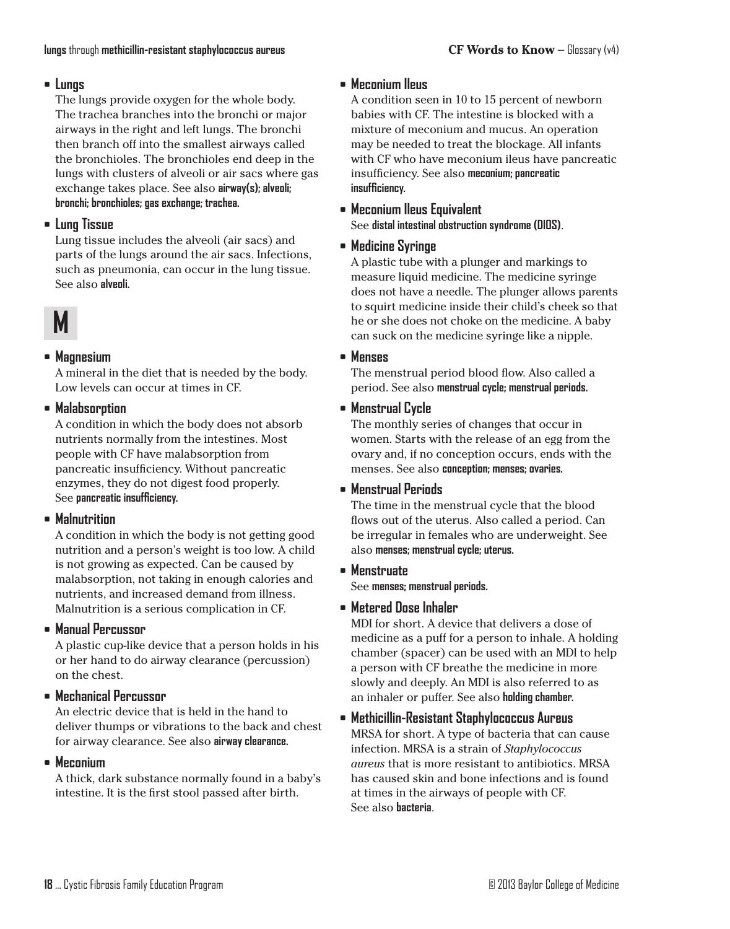## **• Lungs**

The lungs provide oxygen for the whole body. The trachea branches into the bronchi or major airways in the right and left lungs. The bronchi then branch off into the smallest airways called the bronchioles. The bronchioles end deep in the lungs with clusters of alveoli or air sacs where gas exchange takes place. See also **airway(s)**; alveoli; **bronchi; bronchioles; gas exchange; trachea.**

## **• Lung Tissue**

Lung tissue includes the alveoli (air sacs) and parts of the lungs around the air sacs. Infections, such as pneumonia, can occur in the lung tissue. See also **alveoli.**

# **M**

## **• Magnesium**

A mineral in the diet that is needed by the body. Low levels can occur at times in CF.

### **• Malabsorption**

A condition in which the body does not absorb nutrients normally from the intestines. Most people with CF have malabsorption from pancreatic insufficiency. Without pancreatic enzymes, they do not digest food properly. See **pancreatic insufficiency.**

## **• Malnutrition**

A condition in which the body is not getting good nutrition and a person's weight is too low. A child is not growing as expected. Can be caused by malabsorption, not taking in enough calories and nutrients, and increased demand from illness. Malnutrition is a serious complication in CF.

## **• Manual Percussor**

A plastic cup-like device that a person holds in his or her hand to do airway clearance (percussion) on the chest.

## **• Mechanical Percussor**

An electric device that is held in the hand to deliver thumps or vibrations to the back and chest for airway clearance. See also **airway clearance.**

## **• Meconium**

A thick, dark substance normally found in a baby's intestine. It is the first stool passed after birth.

## **• Meconium Ileus**

A condition seen in 10 to 15 percent of newborn babies with CF. The intestine is blocked with a mixture of meconium and mucus. An operation may be needed to treat the blockage. All infants with CF who have meconium ileus have pancreatic insufficiency. See also **meconium; pancreatic insufficiency.**

#### **• Meconium Ileus Equivalent** See **distal intestinal obstruction syndrome (DIOS)**.

## **• Medicine Syringe**

A plastic tube with a plunger and markings to measure liquid medicine. The medicine syringe does not have a needle. The plunger allows parents to squirt medicine inside their child's cheek so that he or she does not choke on the medicine. A baby can suck on the medicine syringe like a nipple.

### **• Menses**

The menstrual period blood flow. Also called a period. See also **menstrual cycle; menstrual periods.**

## **• Menstrual Cycle**

The monthly series of changes that occur in women. Starts with the release of an egg from the ovary and, if no conception occurs, ends with the menses. See also **conception; menses; ovaries.**

## **• Menstrual Periods**

The time in the menstrual cycle that the blood flows out of the uterus. Also called a period. Can be irregular in females who are underweight. See also **menses; menstrual cycle; uterus.**

#### **• Menstruate** See **menses; menstrual periods.**

## **• Metered Dose Inhaler**

MDI for short. A device that delivers a dose of medicine as a puff for a person to inhale. A holding chamber (spacer) can be used with an MDI to help a person with CF breathe the medicine in more slowly and deeply. An MDI is also referred to as an inhaler or puffer. See also **holding chamber.**

## **• Methicillin-Resistant Staphylococcus Aureus** MRSA for short. A type of bacteria that can cause infection. MRSA is a strain of *Staphylococcus aureus* that is more resistant to antibiotics. MRSA

has caused skin and bone infections and is found at times in the airways of people with CF. See also **bacteria**.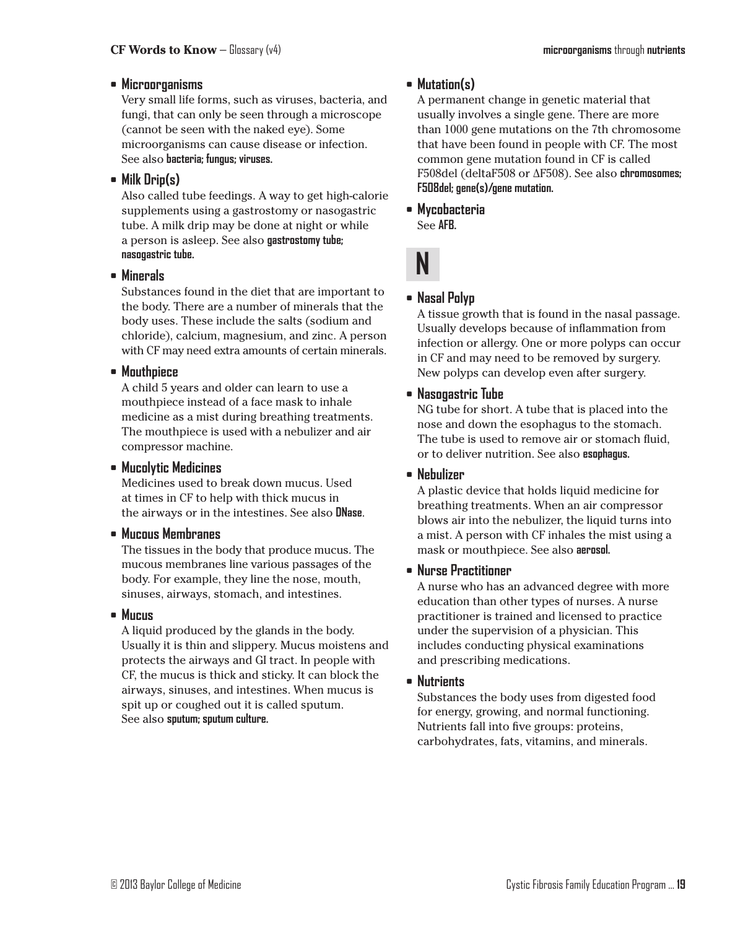#### **• Microorganisms**

Very small life forms, such as viruses, bacteria, and fungi, that can only be seen through a microscope (cannot be seen with the naked eye). Some microorganisms can cause disease or infection. See also **bacteria; fungus; viruses.**

## **• Milk Drip(s)**

Also called tube feedings. A way to get high-calorie supplements using a gastrostomy or nasogastric tube. A milk drip may be done at night or while a person is asleep. See also **gastrostomy tube; nasogastric tube.**

**• Minerals**

Substances found in the diet that are important to the body. There are a number of minerals that the body uses. These include the salts (sodium and chloride), calcium, magnesium, and zinc. A person with CF may need extra amounts of certain minerals.

### **• Mouthpiece**

A child 5 years and older can learn to use a mouthpiece instead of a face mask to inhale medicine as a mist during breathing treatments. The mouthpiece is used with a nebulizer and air compressor machine.

#### **• Mucolytic Medicines**

Medicines used to break down mucus. Used at times in CF to help with thick mucus in the airways or in the intestines. See also **DNase**.

#### **• Mucous Membranes**

The tissues in the body that produce mucus. The mucous membranes line various passages of the body. For example, they line the nose, mouth, sinuses, airways, stomach, and intestines.

#### **• Mucus**

A liquid produced by the glands in the body. Usually it is thin and slippery. Mucus moistens and protects the airways and GI tract. In people with CF, the mucus is thick and sticky. It can block the airways, sinuses, and intestines. When mucus is spit up or coughed out it is called sputum. See also **sputum; sputum culture.**

## **• Mutation(s)**

A permanent change in genetic material that usually involves a single gene. There are more than 1000 gene mutations on the 7th chromosome that have been found in people with CF. The most common gene mutation found in CF is called F508del (deltaF508 or ∆F508). See also **chromosomes; F508del; gene(s)/gene mutation.**

**• Mycobacteria** See **AFB.**



## **• Nasal Polyp**

A tissue growth that is found in the nasal passage. Usually develops because of inflammation from infection or allergy. One or more polyps can occur in CF and may need to be removed by surgery. New polyps can develop even after surgery.

## **• Nasogastric Tube**

NG tube for short. A tube that is placed into the nose and down the esophagus to the stomach. The tube is used to remove air or stomach fluid, or to deliver nutrition. See also **esophagus.**

## **• Nebulizer**

A plastic device that holds liquid medicine for breathing treatments. When an air compressor blows air into the nebulizer, the liquid turns into a mist. A person with CF inhales the mist using a mask or mouthpiece. See also **aerosol.**

## **• Nurse Practitioner**

A nurse who has an advanced degree with more education than other types of nurses. A nurse practitioner is trained and licensed to practice under the supervision of a physician. This includes conducting physical examinations and prescribing medications.

## **• Nutrients**

Substances the body uses from digested food for energy, growing, and normal functioning. Nutrients fall into five groups: proteins, carbohydrates, fats, vitamins, and minerals.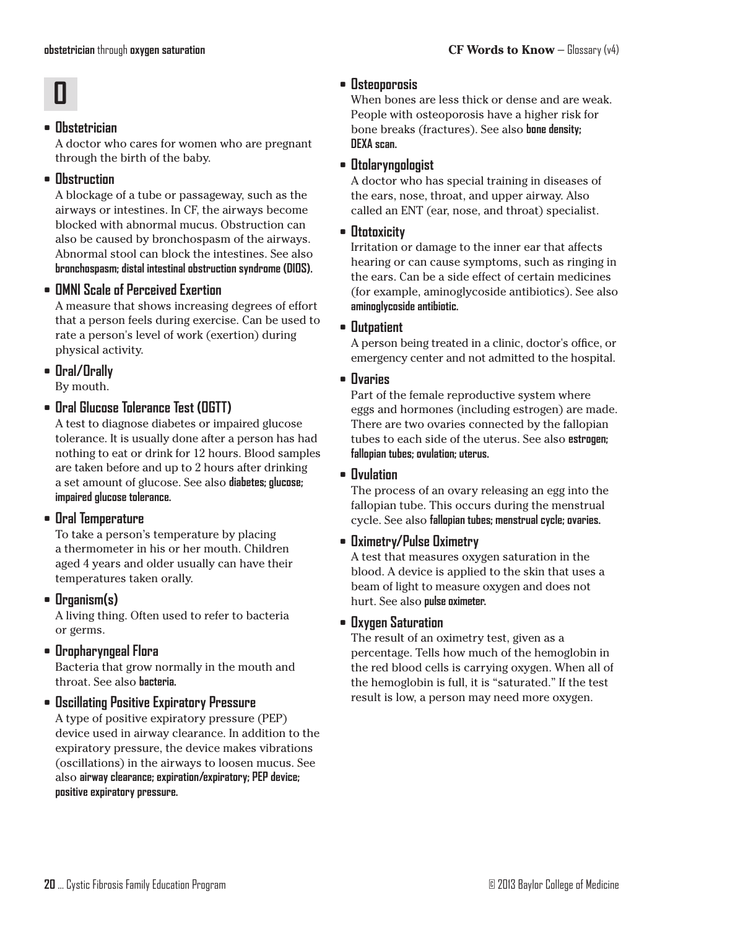# **O**

## **• Obstetrician**

A doctor who cares for women who are pregnant through the birth of the baby.

## **• Obstruction**

A blockage of a tube or passageway, such as the airways or intestines. In CF, the airways become blocked with abnormal mucus. Obstruction can also be caused by bronchospasm of the airways. Abnormal stool can block the intestines. See also **bronchospasm; distal intestinal obstruction syndrome (DIOS).**

## **• OMNI Scale of Perceived Exertion**

A measure that shows increasing degrees of effort that a person feels during exercise. Can be used to rate a person's level of work (exertion) during physical activity.

**• Oral/Orally** By mouth.

**• Oral Glucose Tolerance Test (OGTT)**

A test to diagnose diabetes or impaired glucose tolerance. It is usually done after a person has had nothing to eat or drink for 12 hours. Blood samples are taken before and up to 2 hours after drinking a set amount of glucose. See also **diabetes; glucose; impaired glucose tolerance.**

## **• Oral Temperature**

To take a person's temperature by placing a thermometer in his or her mouth. Children aged 4 years and older usually can have their temperatures taken orally.

## **• Organism(s)**

A living thing. Often used to refer to bacteria or germs.

## **• Oropharyngeal Flora**

Bacteria that grow normally in the mouth and throat. See also **bacteria.**

## **• Oscillating Positive Expiratory Pressure**

A type of positive expiratory pressure (PEP) device used in airway clearance. In addition to the expiratory pressure, the device makes vibrations (oscillations) in the airways to loosen mucus. See also **airway clearance; expiration/expiratory; PEP device; positive expiratory pressure.**

## **• Osteoporosis**

When bones are less thick or dense and are weak. People with osteoporosis have a higher risk for bone breaks (fractures). See also **bone density; DEXA scan.**

### **• Otolaryngologist**

A doctor who has special training in diseases of the ears, nose, throat, and upper airway. Also called an ENT (ear, nose, and throat) specialist.

## **• Ototoxicity**

Irritation or damage to the inner ear that affects hearing or can cause symptoms, such as ringing in the ears. Can be a side effect of certain medicines (for example, aminoglycoside antibiotics). See also **aminoglycoside antibiotic.**

### **• Outpatient**

A person being treated in a clinic, doctor's office, or emergency center and not admitted to the hospital.

### **• Ovaries**

Part of the female reproductive system where eggs and hormones (including estrogen) are made. There are two ovaries connected by the fallopian tubes to each side of the uterus. See also **estrogen; fallopian tubes; ovulation; uterus.**

#### **• Ovulation**

The process of an ovary releasing an egg into the fallopian tube. This occurs during the menstrual cycle. See also **fallopian tubes; menstrual cycle; ovaries.**

## **• Oximetry/Pulse Oximetry**

A test that measures oxygen saturation in the blood. A device is applied to the skin that uses a beam of light to measure oxygen and does not hurt. See also **pulse oximeter.**

#### **• Oxygen Saturation**

The result of an oximetry test, given as a percentage. Tells how much of the hemoglobin in the red blood cells is carrying oxygen. When all of the hemoglobin is full, it is "saturated." If the test result is low, a person may need more oxygen.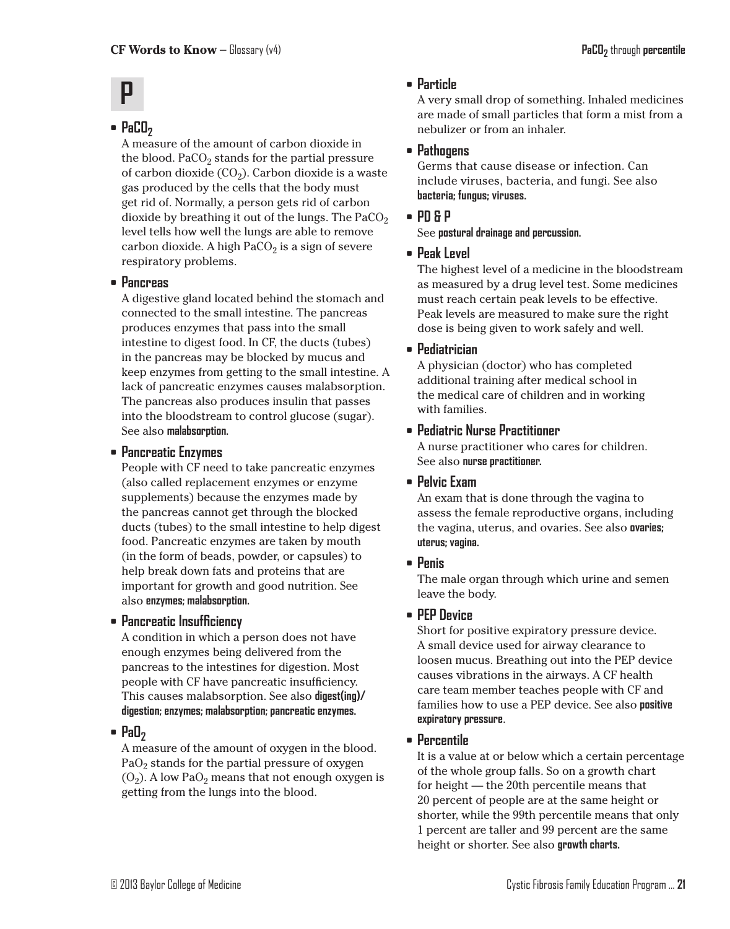# **P**

## • **PaCO**<sub>2</sub>

A measure of the amount of carbon dioxide in the blood. PaCO<sub>2</sub> stands for the partial pressure of carbon dioxide  $(CO_2)$ . Carbon dioxide is a waste gas produced by the cells that the body must get rid of. Normally, a person gets rid of carbon dioxide by breathing it out of the lungs. The  $PaCO<sub>2</sub>$ level tells how well the lungs are able to remove carbon dioxide. A high  $PaCO<sub>2</sub>$  is a sign of severe respiratory problems.

#### **• Pancreas**

A digestive gland located behind the stomach and connected to the small intestine. The pancreas produces enzymes that pass into the small intestine to digest food. In CF, the ducts (tubes) in the pancreas may be blocked by mucus and keep enzymes from getting to the small intestine. A lack of pancreatic enzymes causes malabsorption. The pancreas also produces insulin that passes into the bloodstream to control glucose (sugar). See also **malabsorption.**

### **• Pancreatic Enzymes**

People with CF need to take pancreatic enzymes (also called replacement enzymes or enzyme supplements) because the enzymes made by the pancreas cannot get through the blocked ducts (tubes) to the small intestine to help digest food. Pancreatic enzymes are taken by mouth (in the form of beads, powder, or capsules) to help break down fats and proteins that are important for growth and good nutrition. See also **enzymes; malabsorption.**

#### **• Pancreatic Insufficiency**

A condition in which a person does not have enough enzymes being delivered from the pancreas to the intestines for digestion. Most people with CF have pancreatic insufficiency. This causes malabsorption. See also **digest(ing)/ digestion; enzymes; malabsorption; pancreatic enzymes.**

#### • **PaO**<sub>2</sub>

A measure of the amount of oxygen in the blood.  $PaO<sub>2</sub>$  stands for the partial pressure of oxygen  $(0<sub>2</sub>)$ . A low Pa $0<sub>2</sub>$  means that not enough oxygen is getting from the lungs into the blood.

#### **• Particle**

A very small drop of something. Inhaled medicines are made of small particles that form a mist from a nebulizer or from an inhaler.

#### **• Pathogens**

Germs that cause disease or infection. Can include viruses, bacteria, and fungi. See also **bacteria; fungus; viruses.**

#### **• PD & P**

#### See **postural drainage and percussion.**

#### **• Peak Level**

The highest level of a medicine in the bloodstream as measured by a drug level test. Some medicines must reach certain peak levels to be effective. Peak levels are measured to make sure the right dose is being given to work safely and well.

#### **• Pediatrician**

A physician (doctor) who has completed additional training after medical school in the medical care of children and in working with families.

### **• Pediatric Nurse Practitioner**

A nurse practitioner who cares for children. See also **nurse practitioner.**

#### **• Pelvic Exam**

An exam that is done through the vagina to assess the female reproductive organs, including the vagina, uterus, and ovaries. See also **ovaries; uterus; vagina.**

#### **• Penis**

The male organ through which urine and semen leave the body.

#### **• PEP Device**

Short for positive expiratory pressure device. A small device used for airway clearance to loosen mucus. Breathing out into the PEP device causes vibrations in the airways. A CF health care team member teaches people with CF and families how to use a PEP device. See also **positive expiratory pressure**.

#### **• Percentile**

It is a value at or below which a certain percentage of the whole group falls. So on a growth chart for height — the 20th percentile means that 20 percent of people are at the same height or shorter, while the 99th percentile means that only 1 percent are taller and 99 percent are the same height or shorter. See also **growth charts.**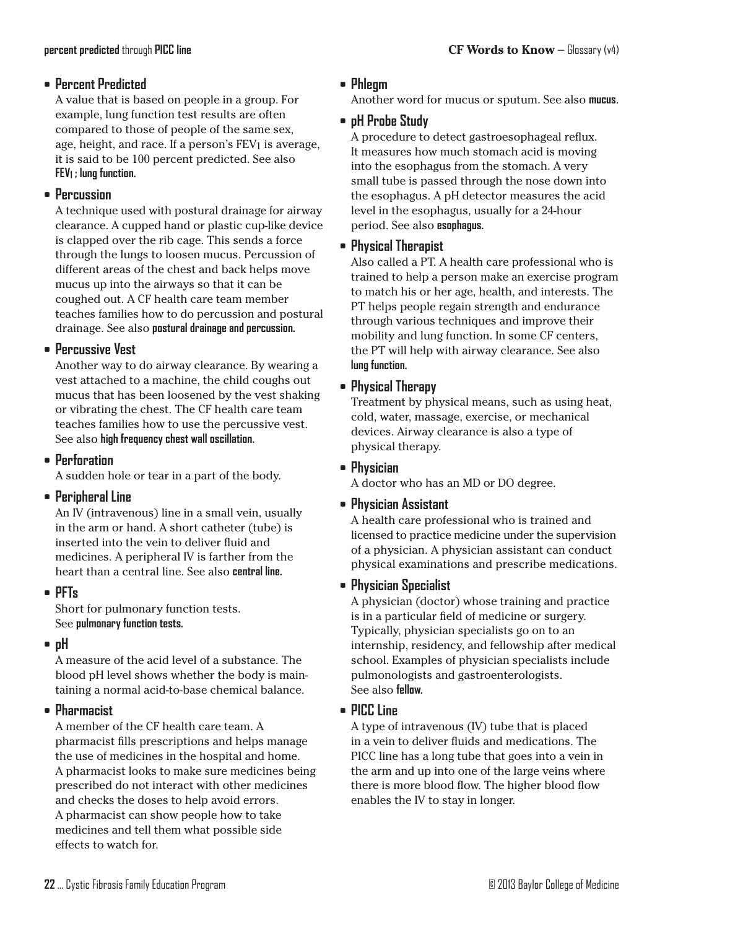#### **• Percent Predicted**

A value that is based on people in a group. For example, lung function test results are often compared to those of people of the same sex, age, height, and race. If a person's FEV1 is average, it is said to be 100 percent predicted. See also **FEV1 ; lung function.**

#### **• Percussion**

A technique used with postural drainage for airway clearance. A cupped hand or plastic cup-like device is clapped over the rib cage. This sends a force through the lungs to loosen mucus. Percussion of different areas of the chest and back helps move mucus up into the airways so that it can be coughed out. A CF health care team member teaches families how to do percussion and postural drainage. See also **postural drainage and percussion.**

#### **• Percussive Vest**

Another way to do airway clearance. By wearing a vest attached to a machine, the child coughs out mucus that has been loosened by the vest shaking or vibrating the chest. The CF health care team teaches families how to use the percussive vest. See also **high frequency chest wall oscillation.**

### **• Perforation**

A sudden hole or tear in a part of the body.

#### **• Peripheral Line**

An IV (intravenous) line in a small vein, usually in the arm or hand. A short catheter (tube) is inserted into the vein to deliver fluid and medicines. A peripheral IV is farther from the heart than a central line. See also **central line.**

#### **• PFTs**

Short for pulmonary function tests. See **pulmonary function tests.**

#### **• pH**

A measure of the acid level of a substance. The blood pH level shows whether the body is maintaining a normal acid-to-base chemical balance.

#### **• Pharmacist**

A member of the CF health care team. A pharmacist fills prescriptions and helps manage the use of medicines in the hospital and home. A pharmacist looks to make sure medicines being prescribed do not interact with other medicines and checks the doses to help avoid errors. A pharmacist can show people how to take medicines and tell them what possible side effects to watch for.

## **• Phlegm**

Another word for mucus or sputum. See also **mucus**.

## **• pH Probe Study**

A procedure to detect gastroesophageal reflux. It measures how much stomach acid is moving into the esophagus from the stomach. A very small tube is passed through the nose down into the esophagus. A pH detector measures the acid level in the esophagus, usually for a 24-hour period. See also **esophagus.**

### **• Physical Therapist**

Also called a PT. A health care professional who is trained to help a person make an exercise program to match his or her age, health, and interests. The PT helps people regain strength and endurance through various techniques and improve their mobility and lung function. In some CF centers, the PT will help with airway clearance. See also **lung function.**

### **• Physical Therapy**

Treatment by physical means, such as using heat, cold, water, massage, exercise, or mechanical devices. Airway clearance is also a type of physical therapy.

#### **• Physician**

A doctor who has an MD or DO degree.

#### **• Physician Assistant**

A health care professional who is trained and licensed to practice medicine under the supervision of a physician. A physician assistant can conduct physical examinations and prescribe medications.

#### **• Physician Specialist**

A physician (doctor) whose training and practice is in a particular field of medicine or surgery. Typically, physician specialists go on to an internship, residency, and fellowship after medical school. Examples of physician specialists include pulmonologists and gastroenterologists. See also **fellow.**

#### **• PICC Line**

A type of intravenous (IV) tube that is placed in a vein to deliver fluids and medications. The PICC line has a long tube that goes into a vein in the arm and up into one of the large veins where there is more blood flow. The higher blood flow enables the IV to stay in longer.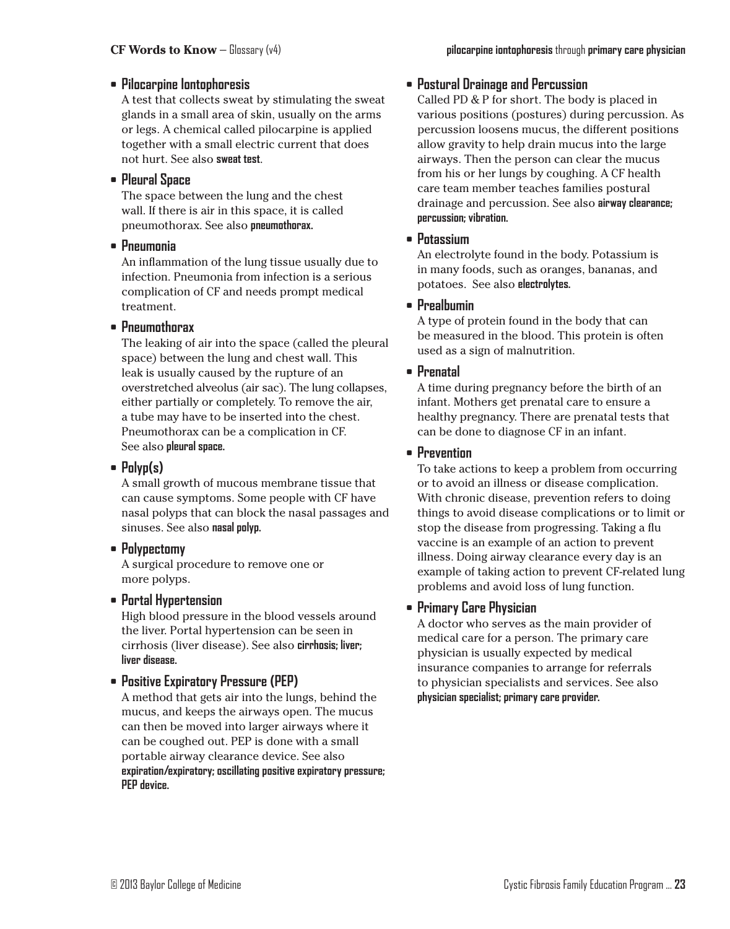#### **• Pilocarpine Iontophoresis**

A test that collects sweat by stimulating the sweat glands in a small area of skin, usually on the arms or legs. A chemical called pilocarpine is applied together with a small electric current that does not hurt. See also **sweat test**.

#### **• Pleural Space**

The space between the lung and the chest wall. If there is air in this space, it is called pneumothorax. See also **pneumothorax.**

#### **• Pneumonia**

An inflammation of the lung tissue usually due to infection. Pneumonia from infection is a serious complication of CF and needs prompt medical treatment.

#### **• Pneumothorax**

The leaking of air into the space (called the pleural space) between the lung and chest wall. This leak is usually caused by the rupture of an overstretched alveolus (air sac). The lung collapses, either partially or completely. To remove the air, a tube may have to be inserted into the chest. Pneumothorax can be a complication in CF. See also **pleural space.**

#### **• Polyp(s)**

A small growth of mucous membrane tissue that can cause symptoms. Some people with CF have nasal polyps that can block the nasal passages and sinuses. See also **nasal polyp.**

#### **• Polypectomy**

A surgical procedure to remove one or more polyps.

#### **• Portal Hypertension**

High blood pressure in the blood vessels around the liver. Portal hypertension can be seen in cirrhosis (liver disease). See also **cirrhosis; liver; liver disease.**

#### **• Positive Expiratory Pressure (PEP)**

A method that gets air into the lungs, behind the mucus, and keeps the airways open. The mucus can then be moved into larger airways where it can be coughed out. PEP is done with a small portable airway clearance device. See also **expiration/expiratory; oscillating positive expiratory pressure; PEP device.**

#### **• Postural Drainage and Percussion**

Called PD & P for short. The body is placed in various positions (postures) during percussion. As percussion loosens mucus, the different positions allow gravity to help drain mucus into the large airways. Then the person can clear the mucus from his or her lungs by coughing. A CF health care team member teaches families postural drainage and percussion. See also **airway clearance; percussion; vibration.**

#### **• Potassium**

An electrolyte found in the body. Potassium is in many foods, such as oranges, bananas, and potatoes. See also **electrolytes.**

#### **• Prealbumin**

A type of protein found in the body that can be measured in the blood. This protein is often used as a sign of malnutrition.

### **• Prenatal**

A time during pregnancy before the birth of an infant. Mothers get prenatal care to ensure a healthy pregnancy. There are prenatal tests that can be done to diagnose CF in an infant.

#### **• Prevention**

To take actions to keep a problem from occurring or to avoid an illness or disease complication. With chronic disease, prevention refers to doing things to avoid disease complications or to limit or stop the disease from progressing. Taking a flu vaccine is an example of an action to prevent illness. Doing airway clearance every day is an example of taking action to prevent CF-related lung problems and avoid loss of lung function.

## **• Primary Care Physician**

A doctor who serves as the main provider of medical care for a person. The primary care physician is usually expected by medical insurance companies to arrange for referrals to physician specialists and services. See also **physician specialist; primary care provider.**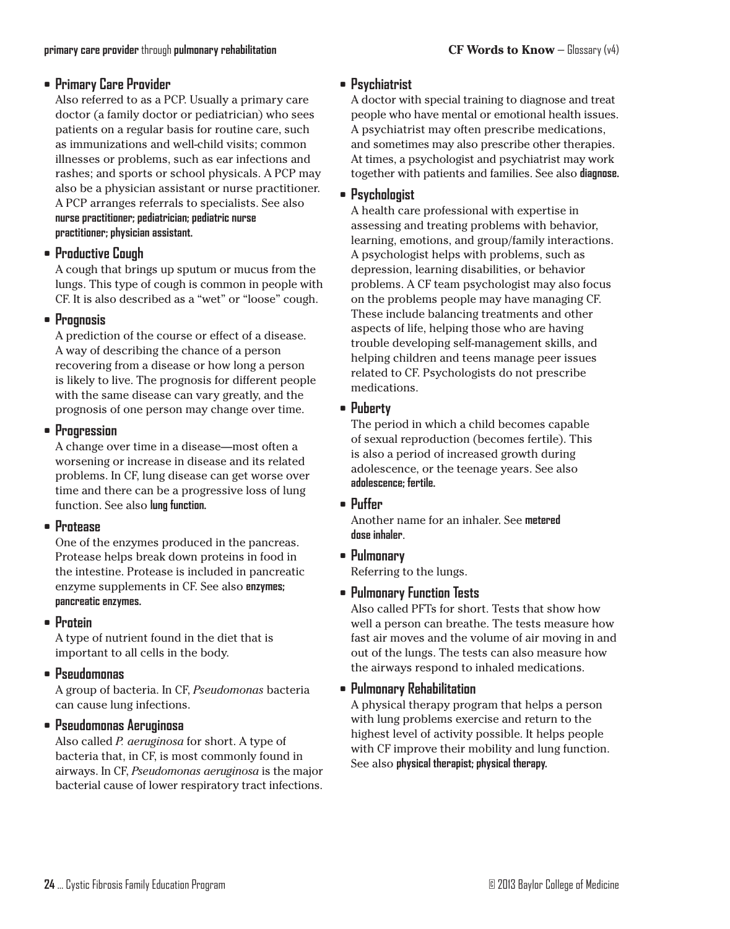#### **• Primary Care Provider**

Also referred to as a PCP. Usually a primary care doctor (a family doctor or pediatrician) who sees patients on a regular basis for routine care, such as immunizations and well-child visits; common illnesses or problems, such as ear infections and rashes; and sports or school physicals. A PCP may also be a physician assistant or nurse practitioner. A PCP arranges referrals to specialists. See also **nurse practitioner; pediatrician; pediatric nurse practitioner; physician assistant.**

#### **• Productive Cough**

A cough that brings up sputum or mucus from the lungs. This type of cough is common in people with CF. It is also described as a "wet" or "loose" cough.

#### **• Prognosis**

A prediction of the course or effect of a disease. A way of describing the chance of a person recovering from a disease or how long a person is likely to live. The prognosis for different people with the same disease can vary greatly, and the prognosis of one person may change over time.

### **• Progression**

A change over time in a disease—most often a worsening or increase in disease and its related problems. In CF, lung disease can get worse over time and there can be a progressive loss of lung function. See also **lung function.**

## **• Protease**

One of the enzymes produced in the pancreas. Protease helps break down proteins in food in the intestine. Protease is included in pancreatic enzyme supplements in CF. See also **enzymes; pancreatic enzymes.**

## **• Protein**

A type of nutrient found in the diet that is important to all cells in the body.

## **• Pseudomonas**

A group of bacteria. In CF, *Pseudomonas* bacteria can cause lung infections.

## **• Pseudomonas Aeruginosa**

Also called *P. aeruginosa* for short. A type of bacteria that, in CF, is most commonly found in airways. In CF, *Pseudomonas aeruginosa* is the major bacterial cause of lower respiratory tract infections.

## **• Psychiatrist**

A doctor with special training to diagnose and treat people who have mental or emotional health issues. A psychiatrist may often prescribe medications, and sometimes may also prescribe other therapies. At times, a psychologist and psychiatrist may work together with patients and families. See also **diagnose.**

#### **• Psychologist**

A health care professional with expertise in assessing and treating problems with behavior, learning, emotions, and group/family interactions. A psychologist helps with problems, such as depression, learning disabilities, or behavior problems. A CF team psychologist may also focus on the problems people may have managing CF. These include balancing treatments and other aspects of life, helping those who are having trouble developing self-management skills, and helping children and teens manage peer issues related to CF. Psychologists do not prescribe medications.

#### **• Puberty**

The period in which a child becomes capable of sexual reproduction (becomes fertile). This is also a period of increased growth during adolescence, or the teenage years. See also **adolescence; fertile.**

#### **• Puffer**

Another name for an inhaler. See **metered dose inhaler**.

**• Pulmonary**

Referring to the lungs.

## **• Pulmonary Function Tests**

Also called PFTs for short. Tests that show how well a person can breathe. The tests measure how fast air moves and the volume of air moving in and out of the lungs. The tests can also measure how the airways respond to inhaled medications.

## **• Pulmonary Rehabilitation**

A physical therapy program that helps a person with lung problems exercise and return to the highest level of activity possible. It helps people with CF improve their mobility and lung function. See also **physical therapist; physical therapy.**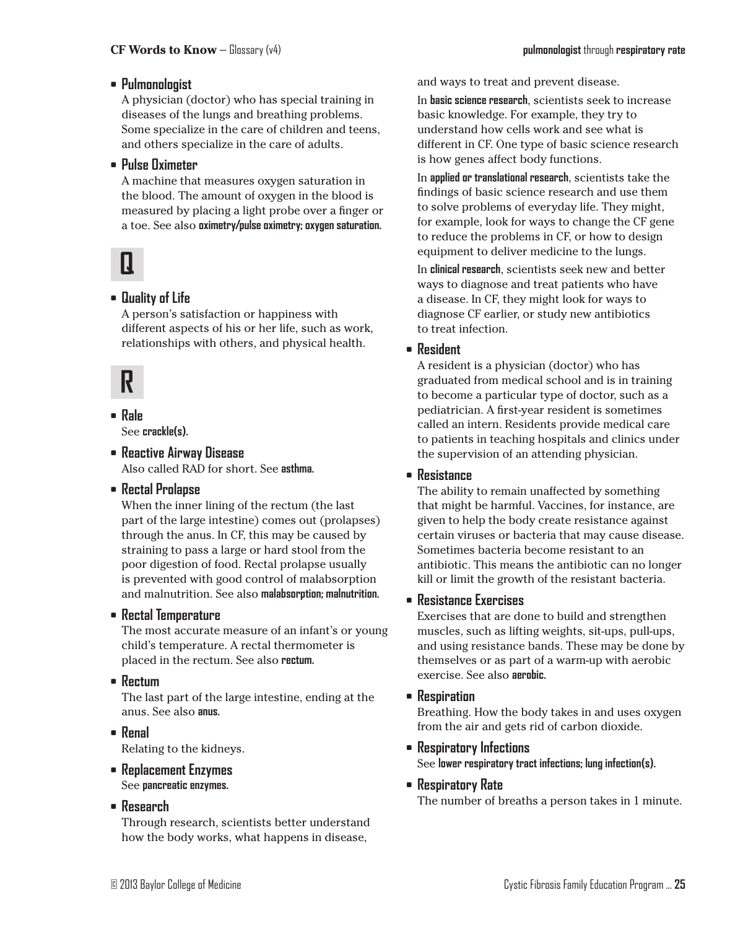### **• Pulmonologist**

A physician (doctor) who has special training in diseases of the lungs and breathing problems. Some specialize in the care of children and teens, and others specialize in the care of adults.

#### **• Pulse Oximeter**

A machine that measures oxygen saturation in the blood. The amount of oxygen in the blood is measured by placing a light probe over a finger or a toe. See also **oximetry/pulse oximetry; oxygen saturation.**

## **Q**

## **• Quality of Life**

A person's satisfaction or happiness with different aspects of his or her life, such as work, relationships with others, and physical health.

## **R**

**• Rale** See **crackle(s).**

**• Reactive Airway Disease** Also called RAD for short. See **asthma.**

## **• Rectal Prolapse**

When the inner lining of the rectum (the last part of the large intestine) comes out (prolapses) through the anus. In CF, this may be caused by straining to pass a large or hard stool from the poor digestion of food. Rectal prolapse usually is prevented with good control of malabsorption and malnutrition. See also **malabsorption; malnutrition.**

#### **• Rectal Temperature**

The most accurate measure of an infant's or young child's temperature. A rectal thermometer is placed in the rectum. See also **rectum.**

**• Rectum**

The last part of the large intestine, ending at the anus. See also **anus.**

- **• Renal** Relating to the kidneys.
- **• Replacement Enzymes** See **pancreatic enzymes.**
- **• Research**

Through research, scientists better understand how the body works, what happens in disease,

and ways to treat and prevent disease.

In **basic science research**, scientists seek to increase basic knowledge. For example, they try to understand how cells work and see what is different in CF. One type of basic science research is how genes affect body functions.

In **applied or translational research**, scientists take the findings of basic science research and use them to solve problems of everyday life. They might, for example, look for ways to change the CF gene to reduce the problems in CF, or how to design equipment to deliver medicine to the lungs.

In **clinical research**, scientists seek new and better ways to diagnose and treat patients who have a disease. In CF, they might look for ways to diagnose CF earlier, or study new antibiotics to treat infection.

### **• Resident**

A resident is a physician (doctor) who has graduated from medical school and is in training to become a particular type of doctor, such as a pediatrician. A first-year resident is sometimes called an intern. Residents provide medical care to patients in teaching hospitals and clinics under the supervision of an attending physician.

#### **• Resistance**

The ability to remain unaffected by something that might be harmful. Vaccines, for instance, are given to help the body create resistance against certain viruses or bacteria that may cause disease. Sometimes bacteria become resistant to an antibiotic. This means the antibiotic can no longer kill or limit the growth of the resistant bacteria.

#### **• Resistance Exercises**

Exercises that are done to build and strengthen muscles, such as lifting weights, sit-ups, pull-ups, and using resistance bands. These may be done by themselves or as part of a warm-up with aerobic exercise. See also **aerobic.**

**• Respiration**

Breathing. How the body takes in and uses oxygen from the air and gets rid of carbon dioxide.

- **• Respiratory Infections** See **lower respiratory tract infections; lung infection(s).**
- **• Respiratory Rate**

The number of breaths a person takes in 1 minute.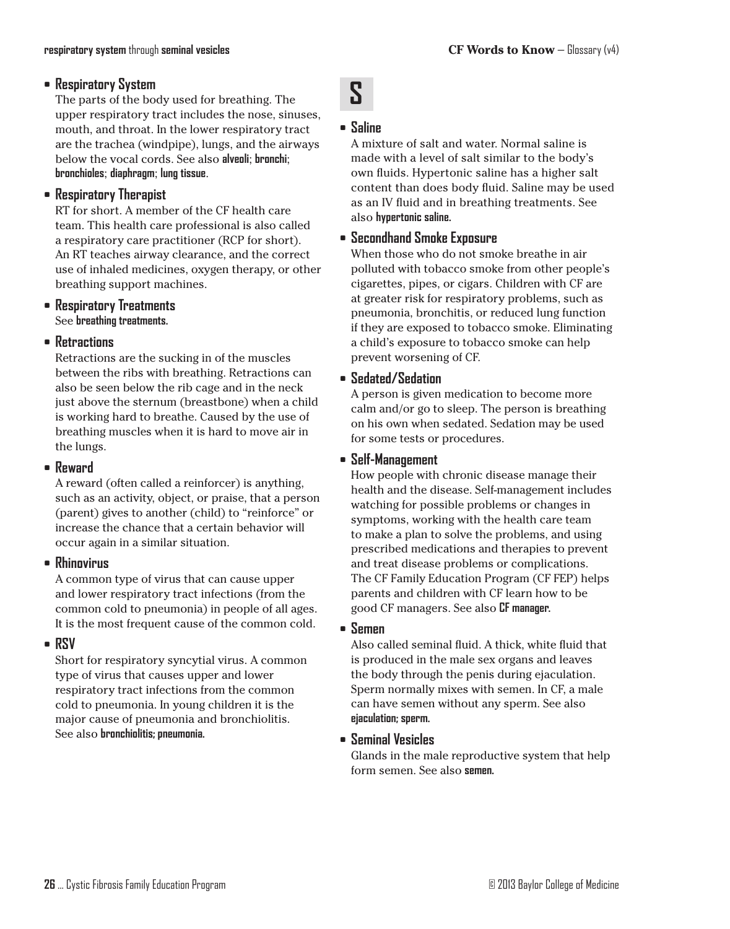#### **• Respiratory System**

The parts of the body used for breathing. The upper respiratory tract includes the nose, sinuses, mouth, and throat. In the lower respiratory tract are the trachea (windpipe), lungs, and the airways below the vocal cords. See also **alveoli**; **bronchi**; **bronchioles**; **diaphragm**; **lung tissue**.

#### **• Respiratory Therapist**

RT for short. A member of the CF health care team. This health care professional is also called a respiratory care practitioner (RCP for short). An RT teaches airway clearance, and the correct use of inhaled medicines, oxygen therapy, or other breathing support machines.

**• Respiratory Treatments** See **breathing treatments.**

#### **• Retractions**

Retractions are the sucking in of the muscles between the ribs with breathing. Retractions can also be seen below the rib cage and in the neck just above the sternum (breastbone) when a child is working hard to breathe. Caused by the use of breathing muscles when it is hard to move air in the lungs.

#### **• Reward**

A reward (often called a reinforcer) is anything, such as an activity, object, or praise, that a person (parent) gives to another (child) to "reinforce" or increase the chance that a certain behavior will occur again in a similar situation.

#### **• Rhinovirus**

A common type of virus that can cause upper and lower respiratory tract infections (from the common cold to pneumonia) in people of all ages. It is the most frequent cause of the common cold.

#### **• RSV**

Short for respiratory syncytial virus. A common type of virus that causes upper and lower respiratory tract infections from the common cold to pneumonia. In young children it is the major cause of pneumonia and bronchiolitis. See also **bronchiolitis; pneumonia.**

## **• Saline**

**S**

A mixture of salt and water. Normal saline is made with a level of salt similar to the body's own fluids. Hypertonic saline has a higher salt content than does body fluid. Saline may be used as an IV fluid and in breathing treatments. See also **hypertonic saline.**

## **• Secondhand Smoke Exposure**

When those who do not smoke breathe in air polluted with tobacco smoke from other people's cigarettes, pipes, or cigars. Children with CF are at greater risk for respiratory problems, such as pneumonia, bronchitis, or reduced lung function if they are exposed to tobacco smoke. Eliminating a child's exposure to tobacco smoke can help prevent worsening of CF.

### **• Sedated/Sedation**

A person is given medication to become more calm and/or go to sleep. The person is breathing on his own when sedated. Sedation may be used for some tests or procedures.

### **• Self-Management**

How people with chronic disease manage their health and the disease. Self-management includes watching for possible problems or changes in symptoms, working with the health care team to make a plan to solve the problems, and using prescribed medications and therapies to prevent and treat disease problems or complications. The CF Family Education Program (CF FEP) helps parents and children with CF learn how to be good CF managers. See also **CF manager.**

#### **• Semen**

Also called seminal fluid. A thick, white fluid that is produced in the male sex organs and leaves the body through the penis during ejaculation. Sperm normally mixes with semen. In CF, a male can have semen without any sperm. See also **ejaculation; sperm.**

#### **• Seminal Vesicles**

Glands in the male reproductive system that help form semen. See also **semen.**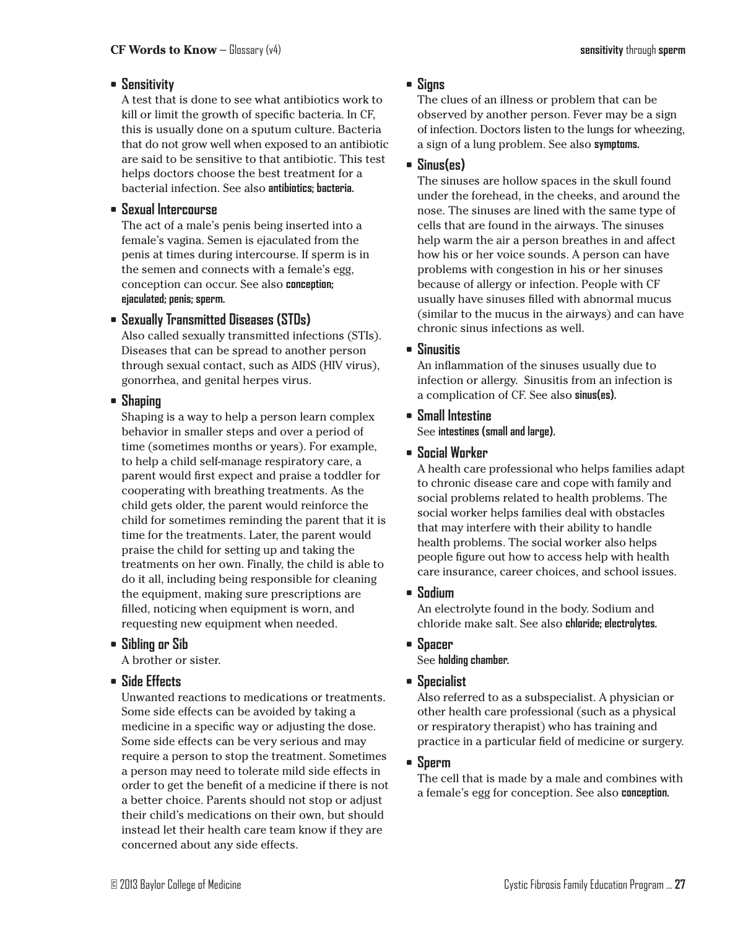## **• Sensitivity**

A test that is done to see what antibiotics work to kill or limit the growth of specific bacteria. In CF, this is usually done on a sputum culture. Bacteria that do not grow well when exposed to an antibiotic are said to be sensitive to that antibiotic. This test helps doctors choose the best treatment for a bacterial infection. See also **antibiotics; bacteria.**

#### **• Sexual Intercourse**

The act of a male's penis being inserted into a female's vagina. Semen is ejaculated from the penis at times during intercourse. If sperm is in the semen and connects with a female's egg, conception can occur. See also **conception; ejaculated; penis; sperm.**

### **• Sexually Transmitted Diseases (STDs)**

Also called sexually transmitted infections (STIs). Diseases that can be spread to another person through sexual contact, such as AIDS (HIV virus), gonorrhea, and genital herpes virus.

### **• Shaping**

Shaping is a way to help a person learn complex behavior in smaller steps and over a period of time (sometimes months or years). For example, to help a child self-manage respiratory care, a parent would first expect and praise a toddler for cooperating with breathing treatments. As the child gets older, the parent would reinforce the child for sometimes reminding the parent that it is time for the treatments. Later, the parent would praise the child for setting up and taking the treatments on her own. Finally, the child is able to do it all, including being responsible for cleaning the equipment, making sure prescriptions are filled, noticing when equipment is worn, and requesting new equipment when needed.

## **• Sibling or Sib**

A brother or sister.

#### **• Side Effects**

Unwanted reactions to medications or treatments. Some side effects can be avoided by taking a medicine in a specific way or adjusting the dose. Some side effects can be very serious and may require a person to stop the treatment. Sometimes a person may need to tolerate mild side effects in order to get the benefit of a medicine if there is not a better choice. Parents should not stop or adjust their child's medications on their own, but should instead let their health care team know if they are concerned about any side effects.

## **• Signs**

The clues of an illness or problem that can be observed by another person. Fever may be a sign of infection. Doctors listen to the lungs for wheezing, a sign of a lung problem. See also **symptoms.**

## **• Sinus(es)**

The sinuses are hollow spaces in the skull found under the forehead, in the cheeks, and around the nose. The sinuses are lined with the same type of cells that are found in the airways. The sinuses help warm the air a person breathes in and affect how his or her voice sounds. A person can have problems with congestion in his or her sinuses because of allergy or infection. People with CF usually have sinuses filled with abnormal mucus (similar to the mucus in the airways) and can have chronic sinus infections as well.

### **• Sinusitis**

An inflammation of the sinuses usually due to infection or allergy. Sinusitis from an infection is a complication of CF. See also **sinus(es).**

**• Small Intestine** See **intestines (small and large).**

## **• Social Worker**

A health care professional who helps families adapt to chronic disease care and cope with family and social problems related to health problems. The social worker helps families deal with obstacles that may interfere with their ability to handle health problems. The social worker also helps people figure out how to access help with health care insurance, career choices, and school issues.

#### **• Sodium**

An electrolyte found in the body. Sodium and chloride make salt. See also **chloride; electrolytes.**

#### **• Spacer**

See **holding chamber.**

#### **• Specialist**

Also referred to as a subspecialist. A physician or other health care professional (such as a physical or respiratory therapist) who has training and practice in a particular field of medicine or surgery.

#### **• Sperm**

The cell that is made by a male and combines with a female's egg for conception. See also **conception.**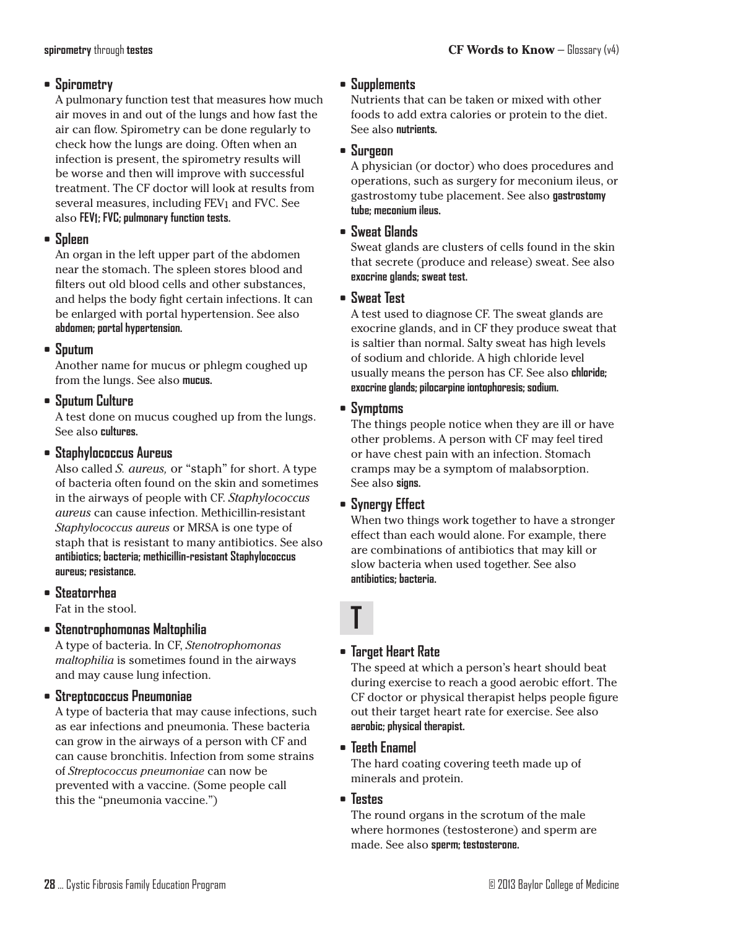#### **• Spirometry**

A pulmonary function test that measures how much air moves in and out of the lungs and how fast the air can flow. Spirometry can be done regularly to check how the lungs are doing. Often when an infection is present, the spirometry results will be worse and then will improve with successful treatment. The CF doctor will look at results from several measures, including FEV1 and FVC. See also **FEV1; FVC; pulmonary function tests.**

#### **• Spleen**

An organ in the left upper part of the abdomen near the stomach. The spleen stores blood and filters out old blood cells and other substances, and helps the body fight certain infections. It can be enlarged with portal hypertension. See also **abdomen; portal hypertension.**

### **• Sputum**

Another name for mucus or phlegm coughed up from the lungs. See also **mucus.**

## **• Sputum Culture**

A test done on mucus coughed up from the lungs. See also **cultures.**

## **• Staphylococcus Aureus**

Also called *S. aureus,* or "staph" for short. A type of bacteria often found on the skin and sometimes in the airways of people with CF. *Staphylococcus aureus* can cause infection. Methicillin-resistant *Staphylococcus aureus* or MRSA is one type of staph that is resistant to many antibiotics. See also **antibiotics; bacteria; methicillin-resistant Staphylococcus aureus; resistance.**

## **• Steatorrhea**

Fat in the stool.

## **• Stenotrophomonas Maltophilia**

A type of bacteria. In CF, *Stenotrophomonas maltophilia* is sometimes found in the airways and may cause lung infection.

## **• Streptococcus Pneumoniae**

A type of bacteria that may cause infections, such as ear infections and pneumonia. These bacteria can grow in the airways of a person with CF and can cause bronchitis. Infection from some strains of *Streptococcus pneumoniae* can now be prevented with a vaccine. (Some people call this the "pneumonia vaccine.")

## **• Supplements**

Nutrients that can be taken or mixed with other foods to add extra calories or protein to the diet. See also **nutrients.**

#### **• Surgeon**

A physician (or doctor) who does procedures and operations, such as surgery for meconium ileus, or gastrostomy tube placement. See also **gastrostomy tube; meconium ileus.**

#### **• Sweat Glands**

Sweat glands are clusters of cells found in the skin that secrete (produce and release) sweat. See also **exocrine glands; sweat test.**

#### **• Sweat Test**

A test used to diagnose CF. The sweat glands are exocrine glands, and in CF they produce sweat that is saltier than normal. Salty sweat has high levels of sodium and chloride. A high chloride level usually means the person has CF. See also **chloride; exocrine glands; pilocarpine iontophoresis;sodium.**

### **• Symptoms**

The things people notice when they are ill or have other problems. A person with CF may feel tired or have chest pain with an infection. Stomach cramps may be a symptom of malabsorption. See also **signs.**

## **• Synergy Effect**

When two things work together to have a stronger effect than each would alone. For example, there are combinations of antibiotics that may kill or slow bacteria when used together. See also **antibiotics; bacteria.**

# **T**

## **• Target Heart Rate**

The speed at which a person's heart should beat during exercise to reach a good aerobic effort. The CF doctor or physical therapist helps people figure out their target heart rate for exercise. See also **aerobic; physical therapist.**

## **• Teeth Enamel**

The hard coating covering teeth made up of minerals and protein.

**• Testes**

The round organs in the scrotum of the male where hormones (testosterone) and sperm are made. See also **sperm; testosterone.**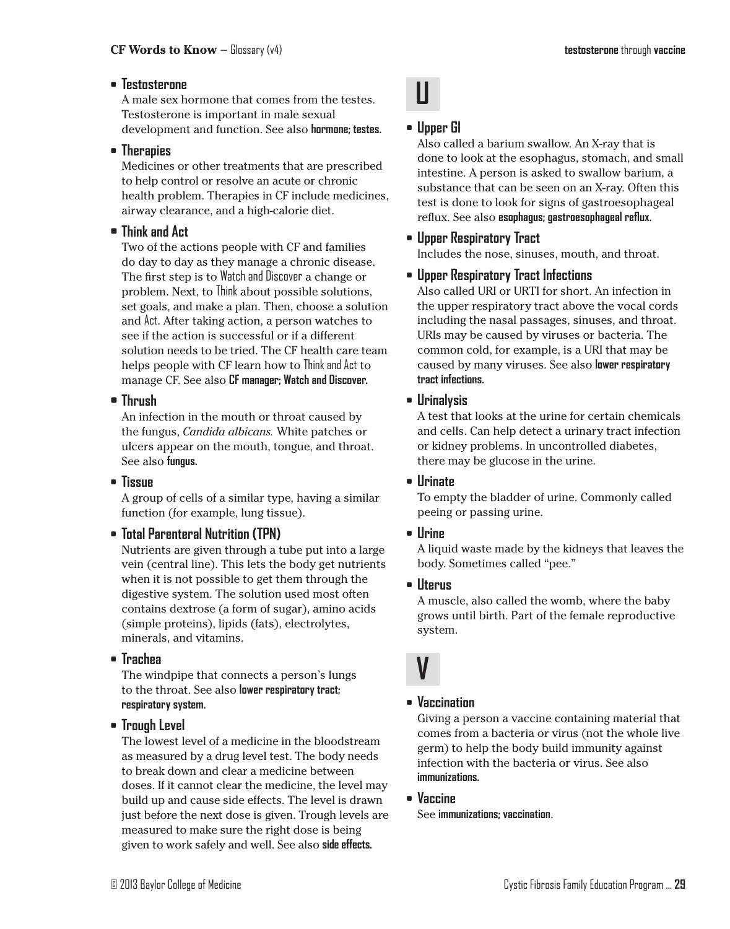#### **• Testosterone**

A male sex hormone that comes from the testes. Testosterone is important in male sexual development and function. See also **hormone; testes.**

#### **• Therapies**

Medicines or other treatments that are prescribed to help control or resolve an acute or chronic health problem. Therapies in CF include medicines, airway clearance, and a high-calorie diet.

#### **• Think and Act**

Two of the actions people with CF and families do day to day as they manage a chronic disease. The first step is to Watch and Discover a change or problem. Next, to Think about possible solutions, set goals, and make a plan. Then, choose a solution and Act. After taking action, a person watches to see if the action is successful or if a different solution needs to be tried. The CF health care team helps people with CF learn how to Think and Act to manage CF. See also **CF manager; Watch and Discover.**

### **• Thrush**

An infection in the mouth or throat caused by the fungus, *Candida albicans.* White patches or ulcers appear on the mouth, tongue, and throat. See also **fungus.**

## **• Tissue**

A group of cells of a similar type, having a similar function (for example, lung tissue).

## **• Total Parenteral Nutrition (TPN)**

Nutrients are given through a tube put into a large vein (central line). This lets the body get nutrients when it is not possible to get them through the digestive system. The solution used most often contains dextrose (a form of sugar), amino acids (simple proteins), lipids (fats), electrolytes, minerals, and vitamins.

**• Trachea**

The windpipe that connects a person's lungs to the throat. See also **lower respiratory tract; respiratory system.**

#### **• Trough Level**

The lowest level of a medicine in the bloodstream as measured by a drug level test. The body needs to break down and clear a medicine between doses. If it cannot clear the medicine, the level may build up and cause side effects. The level is drawn just before the next dose is given. Trough levels are measured to make sure the right dose is being given to work safely and well. See also **side effects.**



## **• Upper GI**

Also called a barium swallow. An X-ray that is done to look at the esophagus, stomach, and small intestine. A person is asked to swallow barium, a substance that can be seen on an X-ray. Often this test is done to look for signs of gastroesophageal reflux. See also **esophagus; gastroesophageal reflux.**

## **• Upper Respiratory Tract**

Includes the nose, sinuses, mouth, and throat.

## **• Upper Respiratory Tract Infections**

Also called URI or URTI for short. An infection in the upper respiratory tract above the vocal cords including the nasal passages, sinuses, and throat. URIs may be caused by viruses or bacteria. The common cold, for example, is a URI that may be caused by many viruses. See also **lower respiratory tract infections.**

### **• Urinalysis**

A test that looks at the urine for certain chemicals and cells. Can help detect a urinary tract infection or kidney problems. In uncontrolled diabetes, there may be glucose in the urine.

#### **• Urinate**

To empty the bladder of urine. Commonly called peeing or passing urine.

#### **• Urine**

A liquid waste made by the kidneys that leaves the body. Sometimes called "pee."

#### **• Uterus**

A muscle, also called the womb, where the baby grows until birth. Part of the female reproductive system.

## **V**

## **• Vaccination**

Giving a person a vaccine containing material that comes from a bacteria or virus (not the whole live germ) to help the body build immunity against infection with the bacteria or virus. See also **immunizations.**

**• Vaccine**

See **immunizations; vaccination**.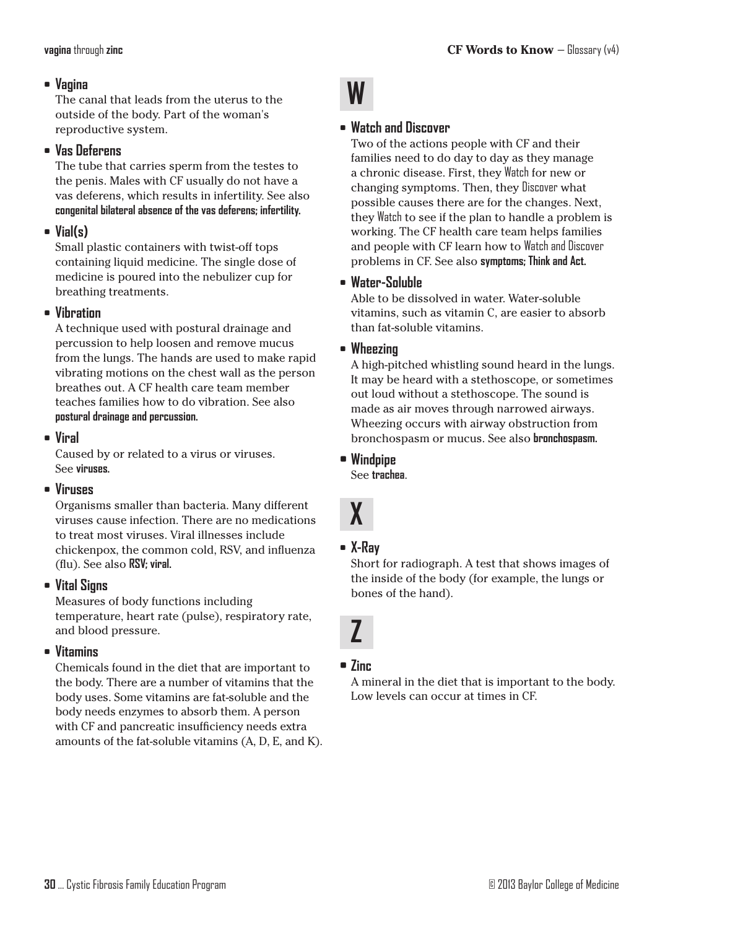#### **• Vagina**

The canal that leads from the uterus to the outside of the body. Part of the woman's reproductive system.

#### **• Vas Deferens**

The tube that carries sperm from the testes to the penis. Males with CF usually do not have a vas deferens, which results in infertility. See also **congenital bilateral absence of the vas deferens; infertility.**

## **• Vial(s)**

Small plastic containers with twist-off tops containing liquid medicine. The single dose of medicine is poured into the nebulizer cup for breathing treatments.

#### **• Vibration**

A technique used with postural drainage and percussion to help loosen and remove mucus from the lungs. The hands are used to make rapid vibrating motions on the chest wall as the person breathes out. A CF health care team member teaches families how to do vibration. See also **postural drainage and percussion.**

**• Viral**

Caused by or related to a virus or viruses. See **viruses.**

#### **• Viruses**

Organisms smaller than bacteria. Many different viruses cause infection. There are no medications to treat most viruses. Viral illnesses include chickenpox, the common cold, RSV, and influenza (flu). See also **RSV; viral.**

#### **• Vital Signs**

Measures of body functions including temperature, heart rate (pulse), respiratory rate, and blood pressure.

#### **• Vitamins**

Chemicals found in the diet that are important to the body. There are a number of vitamins that the body uses. Some vitamins are fat-soluble and the body needs enzymes to absorb them. A person with CF and pancreatic insufficiency needs extra amounts of the fat-soluble vitamins (A, D, E, and K).



#### **• Watch and Discover**

Two of the actions people with CF and their families need to do day to day as they manage a chronic disease. First, they Watch for new or changing symptoms. Then, they Discover what possible causes there are for the changes. Next, they Watch to see if the plan to handle a problem is working. The CF health care team helps families and people with CF learn how to Watch and Discover problems in CF. See also **symptoms; Think and Act.**

### **• Water-Soluble**

Able to be dissolved in water. Water-soluble vitamins, such as vitamin C, are easier to absorb than fat-soluble vitamins.

#### **• Wheezing**

A high-pitched whistling sound heard in the lungs. It may be heard with a stethoscope, or sometimes out loud without a stethoscope. The sound is made as air moves through narrowed airways. Wheezing occurs with airway obstruction from bronchospasm or mucus. See also **bronchospasm.**

**• Windpipe**

See **trachea**.



#### **• X-Ray**

Short for radiograph. A test that shows images of the inside of the body (for example, the lungs or bones of the hand).

## **Z**

#### **• Zinc**

A mineral in the diet that is important to the body. Low levels can occur at times in CF.